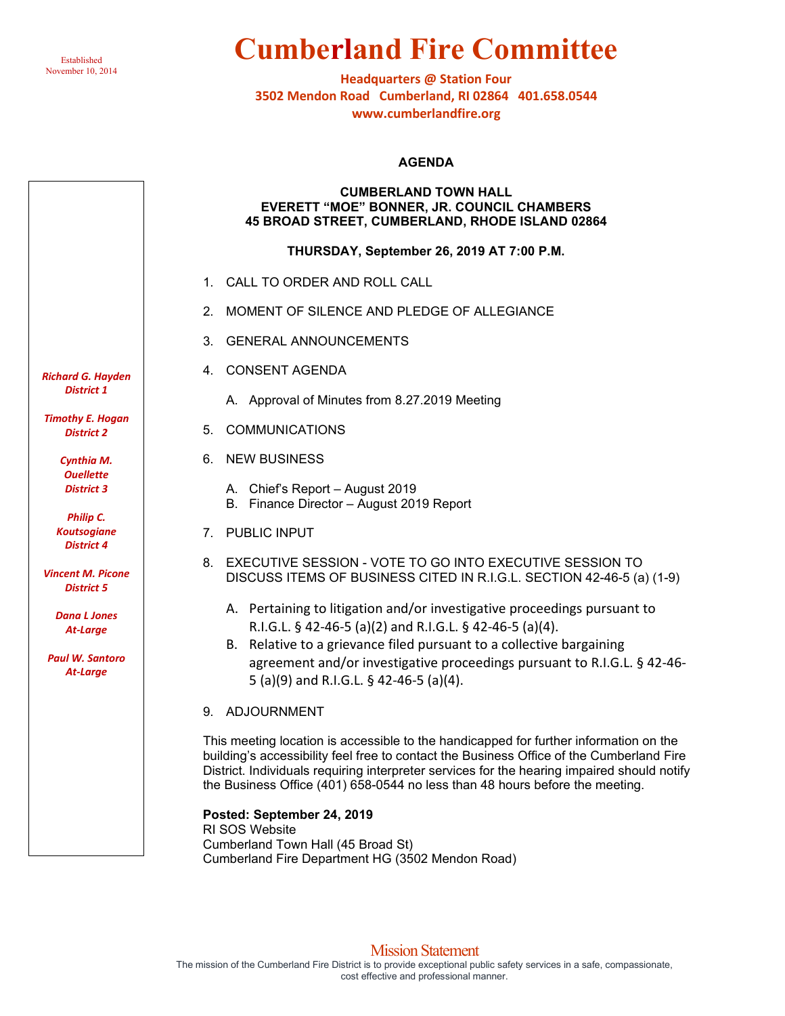

# **Cumberland Fire Committee**

**Headquarters @ Station Four 3502 Mendon Road Cumberland, RI 02864 401.658.0544 www.cumberlandfire.org**

#### **AGENDA**

#### **CUMBERLAND TOWN HALL EVERETT "MOE" BONNER, JR. COUNCIL CHAMBERS 45 BROAD STREET, CUMBERLAND, RHODE ISLAND 02864**

**THURSDAY, September 26, 2019 AT 7:00 P.M.**

- 1. CALL TO ORDER AND ROLL CALL
- 2. MOMENT OF SILENCE AND PLEDGE OF ALLEGIANCE
- 3. GENERAL ANNOUNCEMENTS
- 4. CONSENT AGENDA
	- A. Approval of Minutes from 8.27.2019 Meeting
- 5. COMMUNICATIONS
- 6. NEW BUSINESS
	- A. Chief's Report August 2019
	- B. Finance Director August 2019 Report
- 7. PUBLIC INPUT
- 8. EXECUTIVE SESSION VOTE TO GO INTO [EXECUTIVE SESSION](javascript:getAttach() TO DISCUSS ITEMS OF BUSINESS CITED IN R.I.G.L. SECTION 42-46-5 (a) (1-9)
	- A. Pertaining to litigation and/or investigative proceedings pursuant to R.I.G.L. § 42-46-5 (a)(2) and R.I.G.L. § 42-46-5 (a)(4).
	- B. Relative to a grievance filed pursuant to a collective bargaining agreement and/or investigative proceedings pursuant to R.I.G.L. § 42-46- 5 (a)(9) and R.I.G.L. § 42-46-5 (a)(4).
- 9. ADJOURNMENT

This meeting location is accessible to the handicapped for further information on the building's accessibility feel free to contact the Business Office of the Cumberland Fire District. Individuals requiring interpreter services for the hearing impaired should notify the Business Office (401) 658-0544 no less than 48 hours before the meeting.

**Posted: September 24, 2019** RI SOS Website Cumberland Town Hall (45 Broad St) Cumberland Fire Department HG (3502 Mendon Road)

*Richard G. Hayden District 1*

*Timothy E. Hogan District 2*

> *Cynthia M. Ouellette District 3*

*Philip C. Koutsogiane District 4*

*Vincent M. Picone District 5*

> *Dana L Jones At-Large*

*Paul W. Santoro At-Large*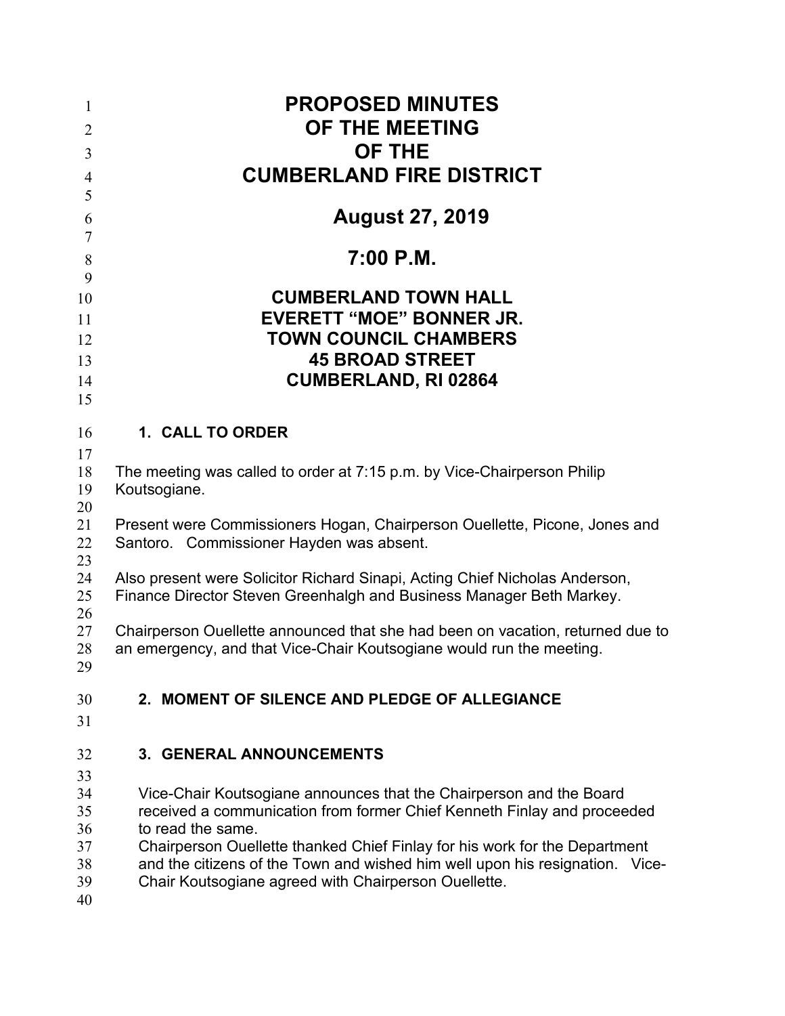| $\mathbf{1}$<br>$\overline{2}$<br>3          | <b>PROPOSED MINUTES</b><br>OF THE MEETING<br><b>OF THE</b><br><b>CUMBERLAND FIRE DISTRICT</b>                                                                                                                                                                                                                                                                                             |
|----------------------------------------------|-------------------------------------------------------------------------------------------------------------------------------------------------------------------------------------------------------------------------------------------------------------------------------------------------------------------------------------------------------------------------------------------|
| $\overline{4}$<br>5                          |                                                                                                                                                                                                                                                                                                                                                                                           |
| 6                                            | <b>August 27, 2019</b>                                                                                                                                                                                                                                                                                                                                                                    |
| 7                                            |                                                                                                                                                                                                                                                                                                                                                                                           |
| $\,8\,$                                      | $7:00$ P.M.                                                                                                                                                                                                                                                                                                                                                                               |
| 9                                            |                                                                                                                                                                                                                                                                                                                                                                                           |
| 10                                           | <b>CUMBERLAND TOWN HALL</b>                                                                                                                                                                                                                                                                                                                                                               |
| 11<br>12                                     | <b>EVERETT "MOE" BONNER JR.</b><br><b>TOWN COUNCIL CHAMBERS</b>                                                                                                                                                                                                                                                                                                                           |
| 13                                           | <b>45 BROAD STREET</b>                                                                                                                                                                                                                                                                                                                                                                    |
| 14                                           | <b>CUMBERLAND, RI 02864</b>                                                                                                                                                                                                                                                                                                                                                               |
| 15                                           |                                                                                                                                                                                                                                                                                                                                                                                           |
| 16                                           | 1. CALL TO ORDER                                                                                                                                                                                                                                                                                                                                                                          |
| 17                                           |                                                                                                                                                                                                                                                                                                                                                                                           |
| 18<br>19                                     | The meeting was called to order at 7:15 p.m. by Vice-Chairperson Philip<br>Koutsogiane.                                                                                                                                                                                                                                                                                                   |
| 20<br>21<br>22                               | Present were Commissioners Hogan, Chairperson Ouellette, Picone, Jones and<br>Santoro. Commissioner Hayden was absent.                                                                                                                                                                                                                                                                    |
| 23<br>24<br>25<br>26                         | Also present were Solicitor Richard Sinapi, Acting Chief Nicholas Anderson,<br>Finance Director Steven Greenhalgh and Business Manager Beth Markey.                                                                                                                                                                                                                                       |
| 27<br>28<br>29                               | Chairperson Ouellette announced that she had been on vacation, returned due to<br>an emergency, and that Vice-Chair Koutsogiane would run the meeting.                                                                                                                                                                                                                                    |
| 30<br>31                                     | 2. MOMENT OF SILENCE AND PLEDGE OF ALLEGIANCE                                                                                                                                                                                                                                                                                                                                             |
| 32                                           | <b>3. GENERAL ANNOUNCEMENTS</b>                                                                                                                                                                                                                                                                                                                                                           |
| 33<br>34<br>35<br>36<br>37<br>38<br>39<br>40 | Vice-Chair Koutsogiane announces that the Chairperson and the Board<br>received a communication from former Chief Kenneth Finlay and proceeded<br>to read the same.<br>Chairperson Ouellette thanked Chief Finlay for his work for the Department<br>and the citizens of the Town and wished him well upon his resignation. Vice-<br>Chair Koutsogiane agreed with Chairperson Ouellette. |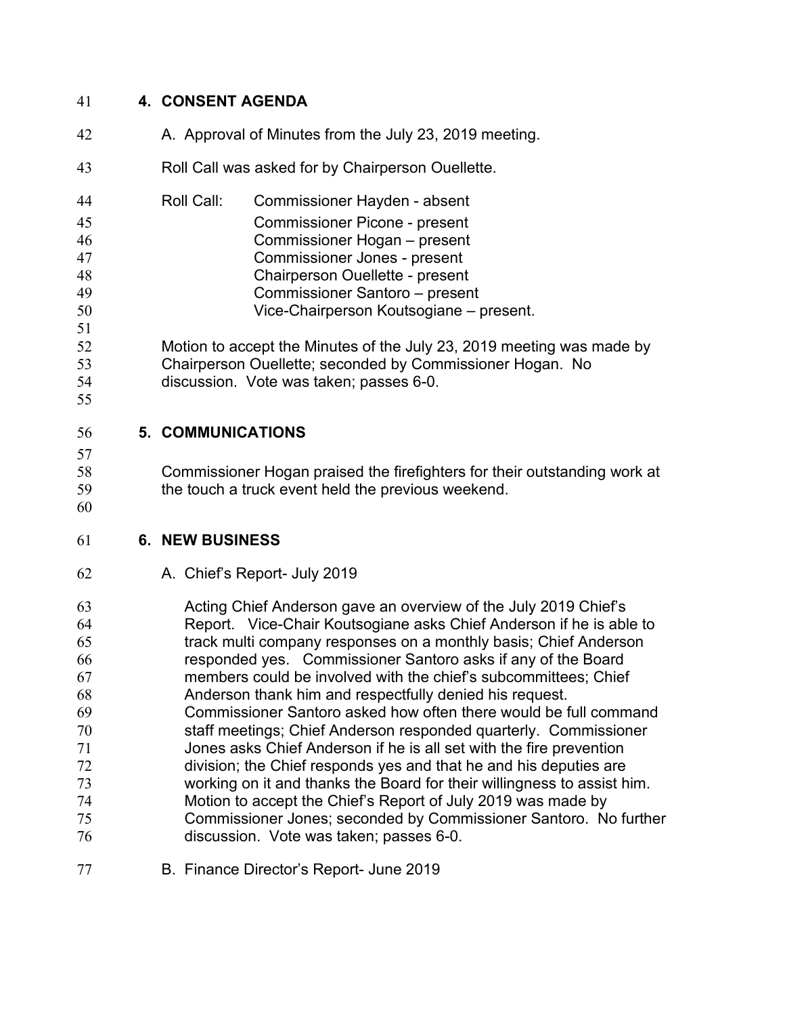## **4. CONSENT AGENDA**

- 42 A. Approval of Minutes from the July 23, 2019 meeting.
- Roll Call was asked for by Chairperson Ouellette.
- Roll Call: Commissioner Hayden absent Commissioner Picone - present Commissioner Hogan – present Commissioner Jones - present Chairperson Ouellette - present Commissioner Santoro – present Vice-Chairperson Koutsogiane – present.
- Motion to accept the Minutes of the July 23, 2019 meeting was made by Chairperson Ouellette; seconded by Commissioner Hogan. No discussion. Vote was taken; passes 6-0.
- 

## **5. COMMUNICATIONS**

 Commissioner Hogan praised the firefighters for their outstanding work at the touch a truck event held the previous weekend.

### **6. NEW BUSINESS**

A. Chief's Report- July 2019

 Acting Chief Anderson gave an overview of the July 2019 Chief's Report. Vice-Chair Koutsogiane asks Chief Anderson if he is able to track multi company responses on a monthly basis; Chief Anderson responded yes. Commissioner Santoro asks if any of the Board members could be involved with the chief's subcommittees; Chief Anderson thank him and respectfully denied his request. Commissioner Santoro asked how often there would be full command staff meetings; Chief Anderson responded quarterly. Commissioner Jones asks Chief Anderson if he is all set with the fire prevention division; the Chief responds yes and that he and his deputies are working on it and thanks the Board for their willingness to assist him. Motion to accept the Chief's Report of July 2019 was made by Commissioner Jones; seconded by Commissioner Santoro. No further discussion. Vote was taken; passes 6-0.

B. Finance Director's Report- June 2019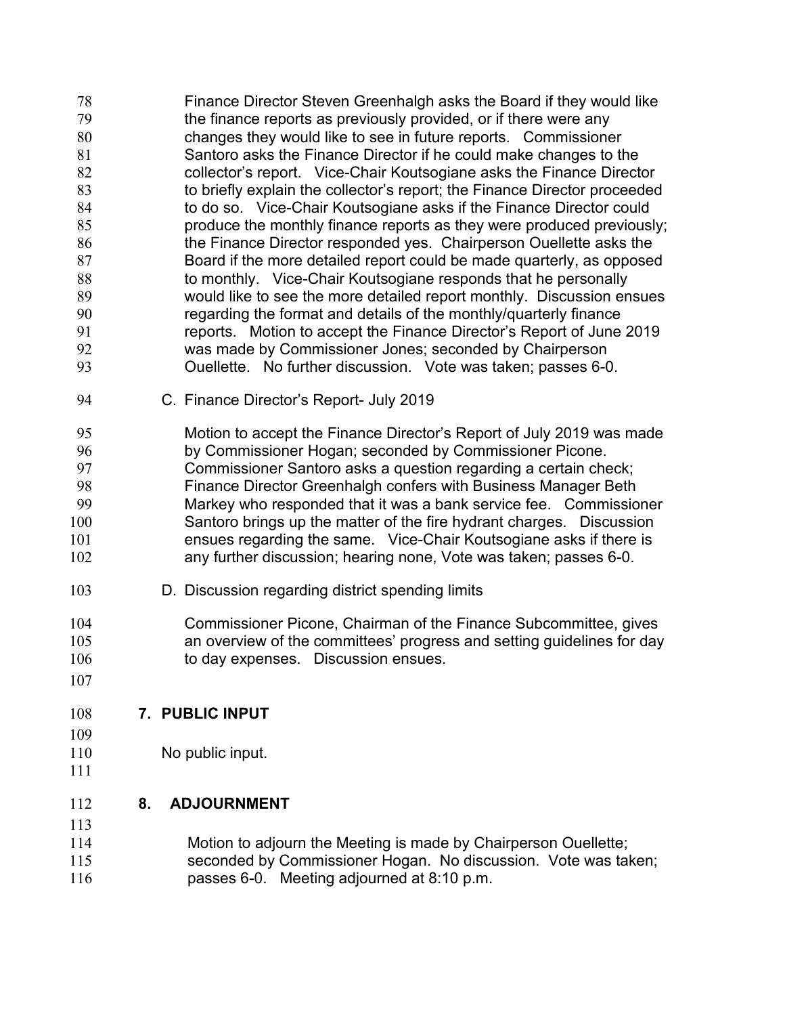- Finance Director Steven Greenhalgh asks the Board if they would like the finance reports as previously provided, or if there were any changes they would like to see in future reports. Commissioner Santoro asks the Finance Director if he could make changes to the collector's report. Vice-Chair Koutsogiane asks the Finance Director to briefly explain the collector's report; the Finance Director proceeded to do so. Vice-Chair Koutsogiane asks if the Finance Director could produce the monthly finance reports as they were produced previously; **the Finance Director responded yes. Chairperson Ouellette asks the**  Board if the more detailed report could be made quarterly, as opposed 88 to monthly. Vice-Chair Koutsogiane responds that he personally would like to see the more detailed report monthly. Discussion ensues regarding the format and details of the monthly/quarterly finance reports. Motion to accept the Finance Director's Report of June 2019 was made by Commissioner Jones; seconded by Chairperson Ouellette. No further discussion. Vote was taken; passes 6-0.
- C. Finance Director's Report- July 2019
- Motion to accept the Finance Director's Report of July 2019 was made by Commissioner Hogan; seconded by Commissioner Picone. Commissioner Santoro asks a question regarding a certain check; Finance Director Greenhalgh confers with Business Manager Beth Markey who responded that it was a bank service fee. Commissioner Santoro brings up the matter of the fire hydrant charges. Discussion ensues regarding the same. Vice-Chair Koutsogiane asks if there is any further discussion; hearing none, Vote was taken; passes 6-0.
- D. Discussion regarding district spending limits
- Commissioner Picone, Chairman of the Finance Subcommittee, gives an overview of the committees' progress and setting guidelines for day 106 to day expenses. Discussion ensues.
- 

# **7. PUBLIC INPUT**

- 
- 110 No public input.

# **8. ADJOURNMENT**

- Motion to adjourn the Meeting is made by Chairperson Ouellette;
- seconded by Commissioner Hogan. No discussion. Vote was taken; passes 6-0. Meeting adjourned at 8:10 p.m.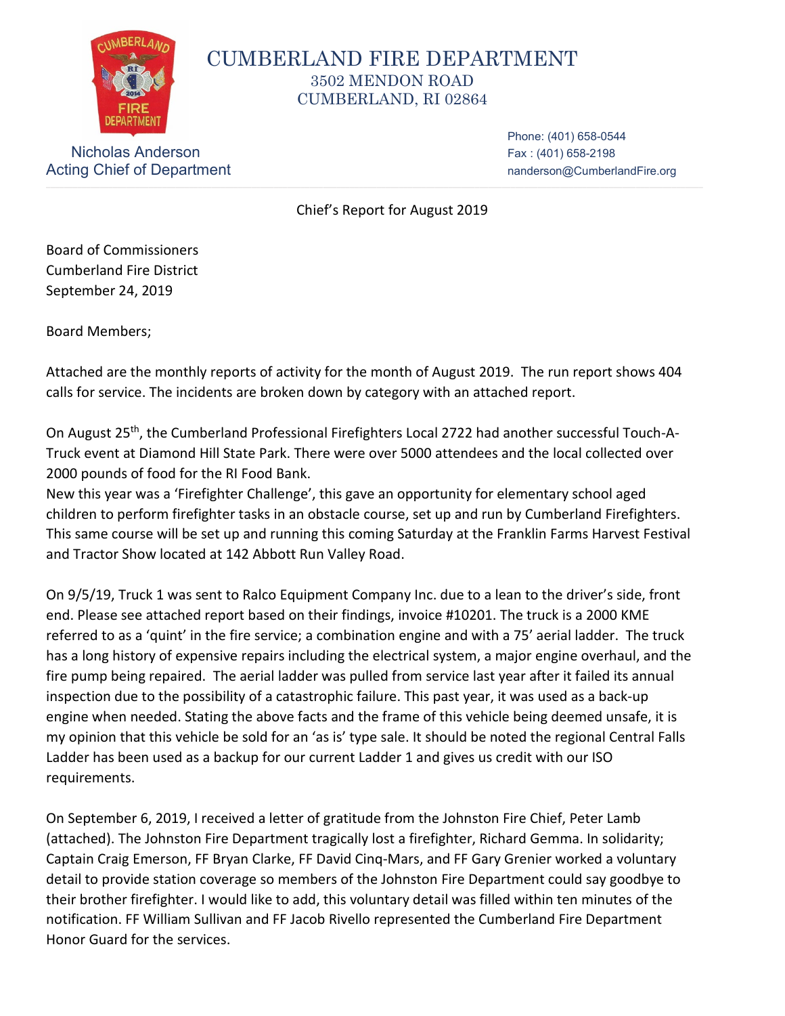

# CUMBERLAND FIRE DEPARTMENT 3502 MENDON ROAD CUMBERLAND, RI 02864

Nicholas Anderson Fax: (401) 658-2198 Acting Chief of Department nanderson@CumberlandFire.org

Phone: (401) 658-0544

Chief's Report for August 2019

Board of Commissioners Cumberland Fire District September 24, 2019

Board Members;

Attached are the monthly reports of activity for the month of August 2019. The run report shows 404 calls for service. The incidents are broken down by category with an attached report.

On August 25th, the Cumberland Professional Firefighters Local 2722 had another successful Touch-A-Truck event at Diamond Hill State Park. There were over 5000 attendees and the local collected over 2000 pounds of food for the RI Food Bank.

New this year was a 'Firefighter Challenge', this gave an opportunity for elementary school aged children to perform firefighter tasks in an obstacle course, set up and run by Cumberland Firefighters. This same course will be set up and running this coming Saturday at the Franklin Farms Harvest Festival and Tractor Show located at 142 Abbott Run Valley Road.

On 9/5/19, Truck 1 was sent to Ralco Equipment Company Inc. due to a lean to the driver's side, front end. Please see attached report based on their findings, invoice #10201. The truck is a 2000 KME referred to as a 'quint' in the fire service; a combination engine and with a 75' aerial ladder. The truck has a long history of expensive repairs including the electrical system, a major engine overhaul, and the fire pump being repaired. The aerial ladder was pulled from service last year after it failed its annual inspection due to the possibility of a catastrophic failure. This past year, it was used as a back-up engine when needed. Stating the above facts and the frame of this vehicle being deemed unsafe, it is my opinion that this vehicle be sold for an 'as is' type sale. It should be noted the regional Central Falls Ladder has been used as a backup for our current Ladder 1 and gives us credit with our ISO requirements.

On September 6, 2019, I received a letter of gratitude from the Johnston Fire Chief, Peter Lamb (attached). The Johnston Fire Department tragically lost a firefighter, Richard Gemma. In solidarity; Captain Craig Emerson, FF Bryan Clarke, FF David Cinq-Mars, and FF Gary Grenier worked a voluntary detail to provide station coverage so members of the Johnston Fire Department could say goodbye to their brother firefighter. I would like to add, this voluntary detail was filled within ten minutes of the notification. FF William Sullivan and FF Jacob Rivello represented the Cumberland Fire Department Honor Guard for the services.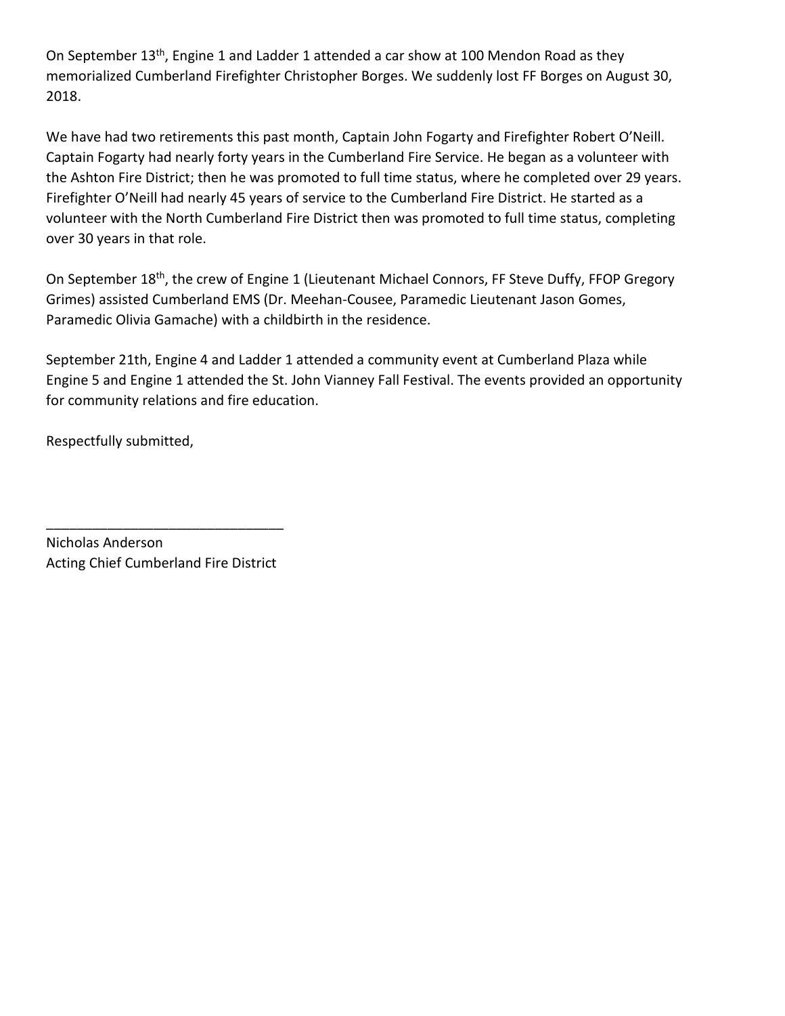On September 13<sup>th</sup>, Engine 1 and Ladder 1 attended a car show at 100 Mendon Road as they memorialized Cumberland Firefighter Christopher Borges. We suddenly lost FF Borges on August 30, 2018.

We have had two retirements this past month, Captain John Fogarty and Firefighter Robert O'Neill. Captain Fogarty had nearly forty years in the Cumberland Fire Service. He began as a volunteer with the Ashton Fire District; then he was promoted to full time status, where he completed over 29 years. Firefighter O'Neill had nearly 45 years of service to the Cumberland Fire District. He started as a volunteer with the North Cumberland Fire District then was promoted to full time status, completing over 30 years in that role.

On September 18<sup>th</sup>, the crew of Engine 1 (Lieutenant Michael Connors, FF Steve Duffy, FFOP Gregory Grimes) assisted Cumberland EMS (Dr. Meehan-Cousee, Paramedic Lieutenant Jason Gomes, Paramedic Olivia Gamache) with a childbirth in the residence.

September 21th, Engine 4 and Ladder 1 attended a community event at Cumberland Plaza while Engine 5 and Engine 1 attended the St. John Vianney Fall Festival. The events provided an opportunity for community relations and fire education.

Respectfully submitted,

Nicholas Anderson Acting Chief Cumberland Fire District

\_\_\_\_\_\_\_\_\_\_\_\_\_\_\_\_\_\_\_\_\_\_\_\_\_\_\_\_\_\_\_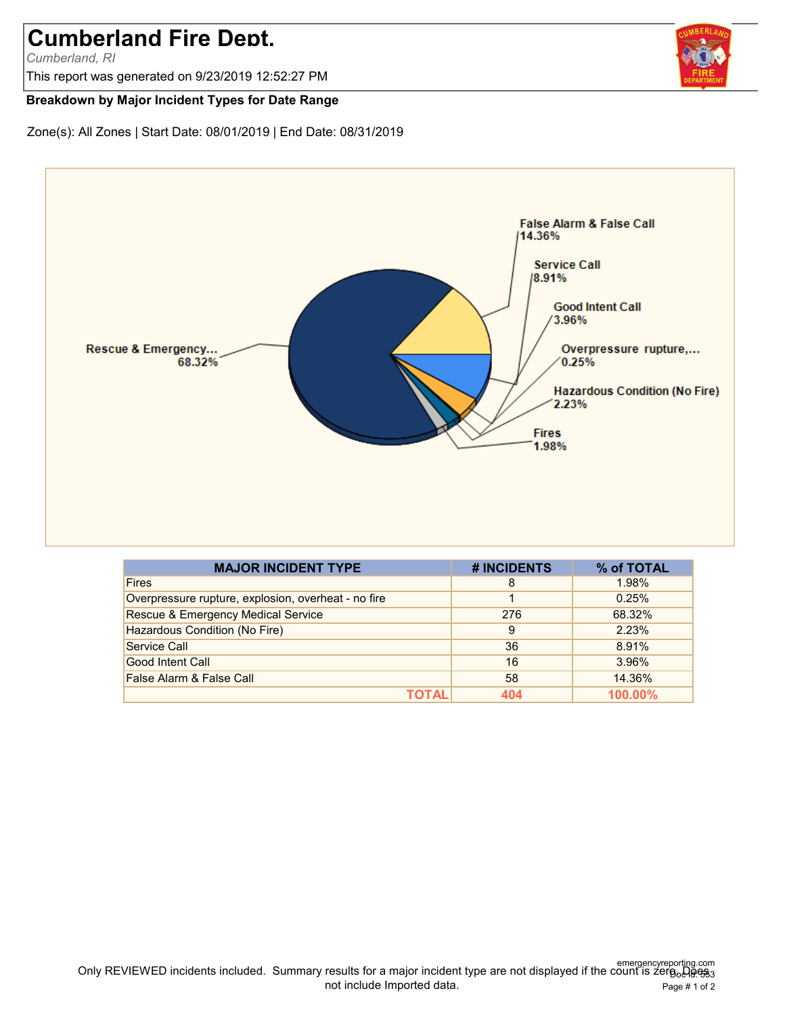# **Cumberland Fire Dept.**

*Cumberland, RI*

This report was generated on 9/23/2019 12:52:27 PM

#### **Breakdown by Major Incident Types for Date Range**

Zone(s): All Zones | Start Date: 08/01/2019 | End Date: 08/31/2019



| <b>MAJOR INCIDENT TYPE</b>                          | # INCIDENTS | % of TOTAL |
|-----------------------------------------------------|-------------|------------|
| <b>Fires</b>                                        | 8           | 1.98%      |
| Overpressure rupture, explosion, overheat - no fire |             | 0.25%      |
| <b>Rescue &amp; Emergency Medical Service</b>       | 276         | 68.32%     |
| Hazardous Condition (No Fire)                       | 9           | 2.23%      |
| Service Call                                        | 36          | 8.91%      |
| <b>Good Intent Call</b>                             | 16          | 3.96%      |
| False Alarm & False Call                            | 58          | 14.36%     |
| τ∩τΔΙ                                               | 404         | 100.00%    |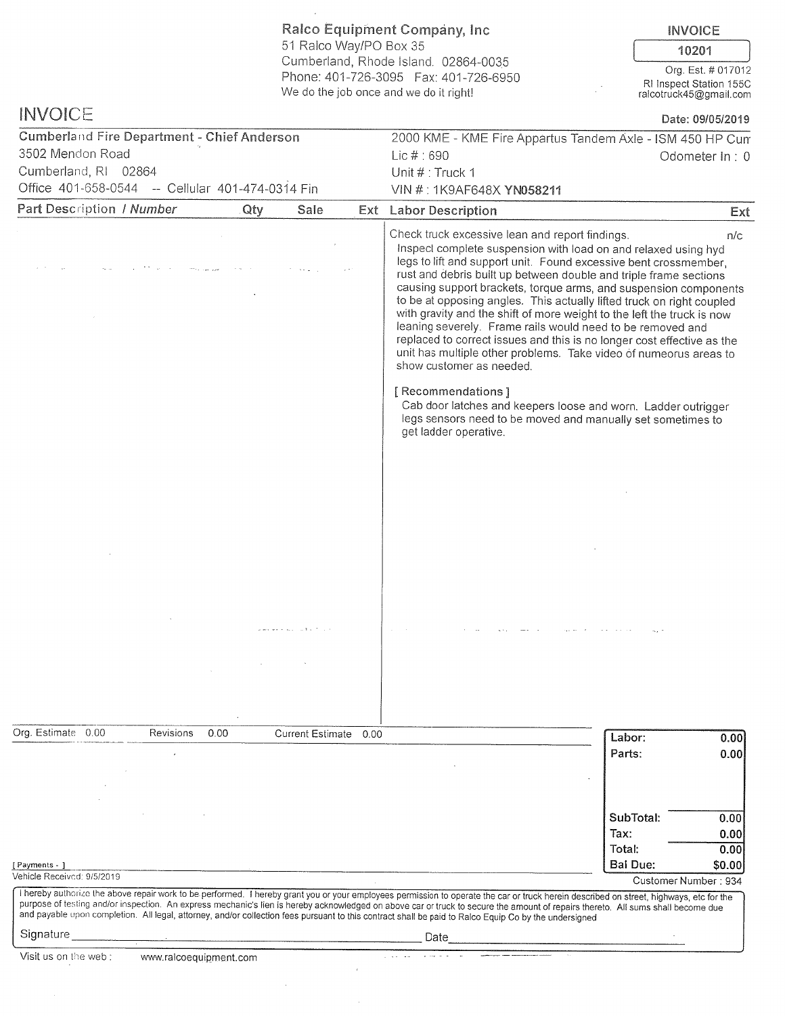**Ralco Equipment Company, Inc. INVOICE** 51 Ralco Way/PO Box 35 10201 Cumberland, Rhode Island, 02864-0035 Org. Est. # 017012 Phone: 401-726-3095 Fax: 401-726-6950 RI Inspect Station 155C We do the job once and we do it right! ralcotruck45@gmail.com **INVOICE** Date: 09/05/2019 **Cumberland Fire Department - Chief Anderson** 2000 KME - KME Fire Appartus Tandem Axle - ISM 450 HP Cum 3502 Mendon Road Lic  $#:690$ Odometer In: 0 Cumberland, RI 02864 Unit # : Truck 1 Office 401-658-0544 -- Cellular 401-474-0314 Fin VIN #: 1K9AF648X YN058211 Part Description / Number Qtv Sale Ext **Labor Description** Ext Check truck excessive lean and report findings.  $n/c$ Inspect complete suspension with load on and relaxed using hyd legs to lift and support unit. Found excessive bent crossmember. rust and debris built up between double and triple frame sections causing support brackets, torque arms, and suspension components to be at opposing angles. This actually lifted truck on right coupled with gravity and the shift of more weight to the left the truck is now leaning severely. Frame rails would need to be removed and replaced to correct issues and this is no longer cost effective as the unit has multiple other problems. Take video of numeorus areas to show customer as needed. [ Recommendations ] Cab door latches and keepers loose and worn. Ladder outrigger legs sensors need to be moved and manually set sometimes to get ladder operative. Org. Estimate 0.00  $0.00$ Revisions **Current Estimate**  $0.00$ Labor:  $0.00$ Parts:  $0.00$ SubTotal:  $0.00$ Tax:  $0.00$ Total:  $0.00$ Bai Due: \$0.00 [Payments - ] Vehicle Received: 9/5/2019 Customer Number: 934 I hereby authorize the above repair work to be performed. I hereby grant you or your employees permission to operate the car or truck herein described on street, highways, etc for the purpose of testing and/or inspection. An express mechanic's lien is hereby acknowledged on above car or truck to secure the amount of repairs thereto. All sums shall become due and payable upon completion. All legal, attorney, and/or collection fees pursuant to this contract shall be paid to Ralco Equip Co by the undersigned Signature Date Visit us on the web: www.ralcoequipment.com  $\sim$   $\sim$   $\sim$  $\Delta\Delta\approx 0.4$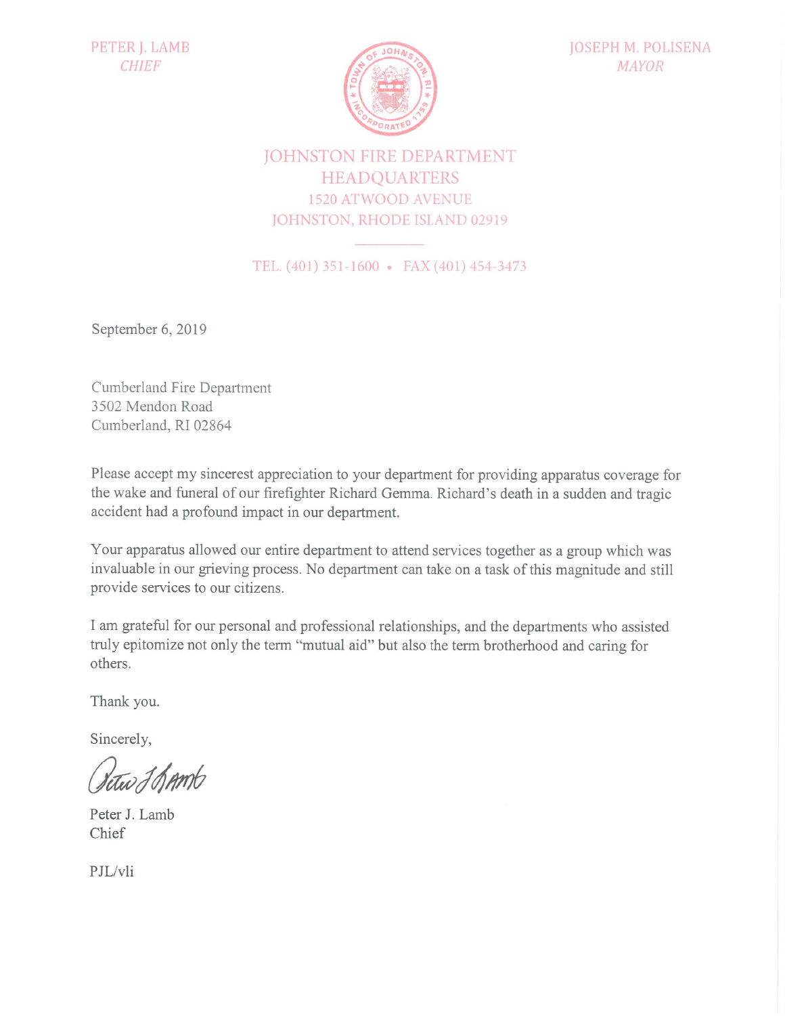

# **JOHNSTON FIRE DEPARTMENT HEADQUARTERS 1520 ATWOOD AVENUE** JOHNSTON, RHODE ISLAND 02919

TEL. (401) 351-1600 • FAX (401) 454-3473

September 6, 2019

**Cumberland Fire Department** 3502 Mendon Road Cumberland, RI 02864

Please accept my sincerest appreciation to your department for providing apparatus coverage for the wake and funeral of our firefighter Richard Gemma. Richard's death in a sudden and tragic accident had a profound impact in our department.

Your apparatus allowed our entire department to attend services together as a group which was invaluable in our grieving process. No department can take on a task of this magnitude and still provide services to our citizens.

I am grateful for our personal and professional relationships, and the departments who assisted truly epitomize not only the term "mutual aid" but also the term brotherhood and caring for others.

Thank you.

Sincerely,

Setus J Bamb

Peter J. Lamb Chief

PJL/vli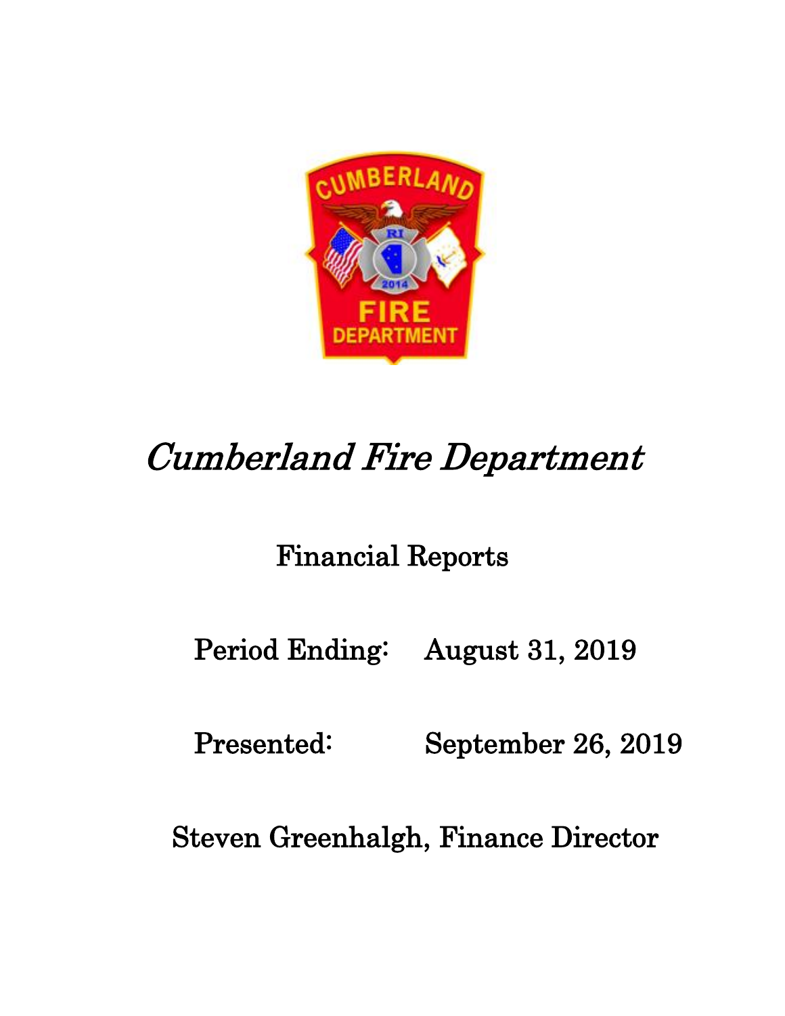

# Cumberland Fire Department

# Financial Reports

Period Ending: August 31, 2019

Presented: September 26, 2019

Steven Greenhalgh, Finance Director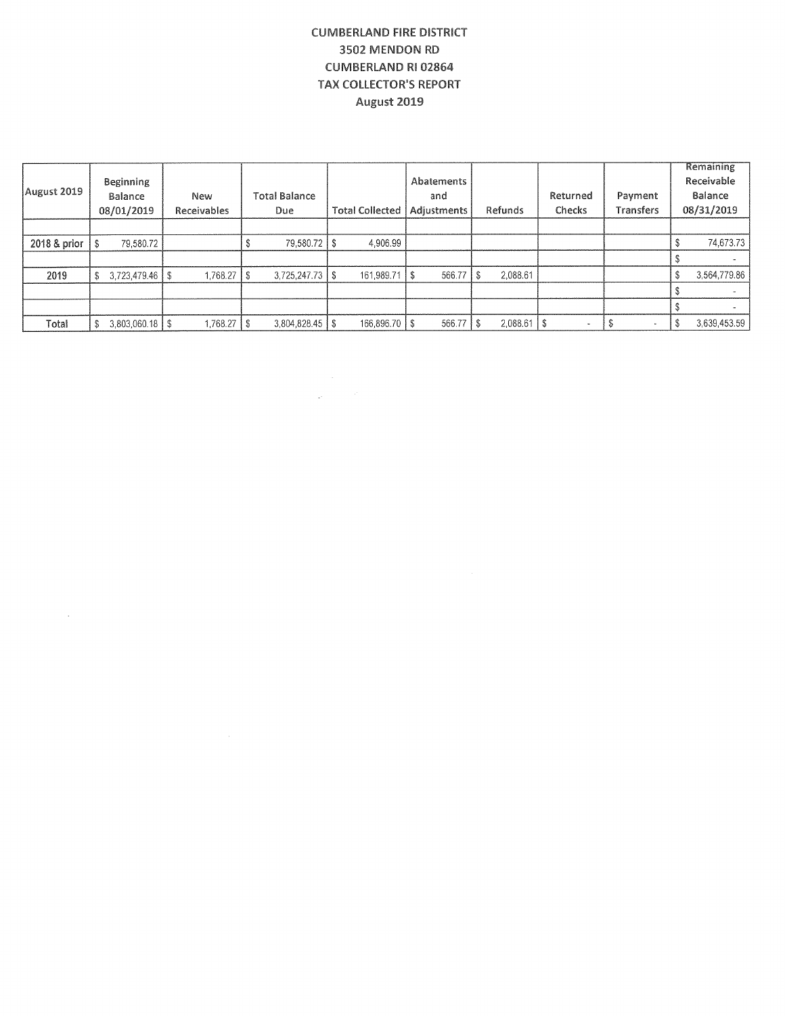#### **CUMBERLAND FIRE DISTRICT** 3502 MENDON RD **CUMBERLAND RI 02864 TAX COLLECTOR'S REPORT** August 2019

| August 2019  | Beginning<br>Balance<br>08/01/2019 | <b>New</b><br>Receivables |   | <b>Total Balance</b><br><b>Due</b> | <b>Total Collected</b> | Abatements<br>and<br>Adjustments |    | Refunds         | Returned<br>Checks    | Payment<br>Transfers | Remaining<br>Receivable<br>Balance<br>08/31/2019 |
|--------------|------------------------------------|---------------------------|---|------------------------------------|------------------------|----------------------------------|----|-----------------|-----------------------|----------------------|--------------------------------------------------|
|              |                                    |                           |   |                                    |                        |                                  |    |                 |                       |                      |                                                  |
| 2018 & prior | 79,580.72                          |                           |   | 79,580.72   \$                     | 4,906.99               |                                  |    |                 |                       |                      | 74,673.73                                        |
|              |                                    |                           |   |                                    |                        |                                  |    |                 |                       |                      |                                                  |
| 2019         | 3,723,479.46                       | 1.768.27                  | S |                                    | 161,989.71             | 566.77                           | -S | 2,088.61        |                       |                      | 3,564,779.86                                     |
|              |                                    |                           |   |                                    |                        |                                  |    |                 |                       |                      |                                                  |
|              |                                    |                           |   |                                    |                        |                                  |    |                 |                       |                      |                                                  |
| Total        | $3,803,060.18$ \\$                 | 1,768.27                  | 8 | $3,804,828.45$ \\$                 | 166,896.70 \ \$        | 566.77                           |    | $2,088.61$   \$ | $\tilde{\phantom{a}}$ | $\blacksquare$       | 3,639,453.59                                     |

 $\frac{1}{2} \frac{1}{2} \left( \frac{1}{2} \right) \frac{1}{2} \frac{d^2}{dx^2}$ 

 $\mathcal{L}^{\mathcal{L}}$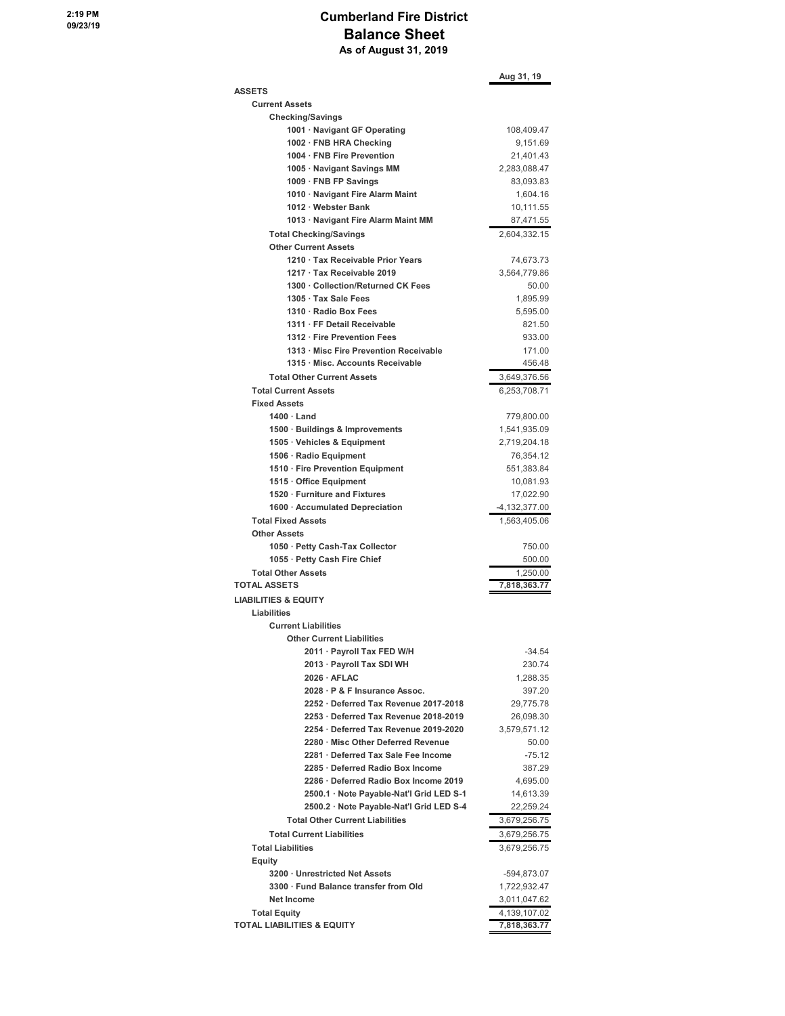#### **Cumberland Fire District Balance Sheet As of August 31, 2019**

|                                          | Aug 31, 19        |
|------------------------------------------|-------------------|
| <b>ASSETS</b>                            |                   |
| <b>Current Assets</b>                    |                   |
| <b>Checking/Savings</b>                  |                   |
| 1001 · Navigant GF Operating             | 108,409.47        |
| 1002 · FNB HRA Checking                  | 9,151.69          |
| 1004 · FNB Fire Prevention               | 21,401.43         |
| 1005 · Navigant Savings MM               | 2,283,088.47      |
| 1009 · FNB FP Savings                    | 83,093.83         |
| 1010 · Navigant Fire Alarm Maint         | 1,604.16          |
| 1012 · Webster Bank                      | 10,111.55         |
| 1013 · Navigant Fire Alarm Maint MM      | 87,471.55         |
| <b>Total Checking/Savings</b>            | 2,604,332.15      |
| <b>Other Current Assets</b>              |                   |
| 1210 · Tax Receivable Prior Years        | 74,673.73         |
| 1217 · Tax Receivable 2019               | 3,564,779.86      |
| 1300 · Collection/Returned CK Fees       | 50.00             |
| 1305 · Tax Sale Fees                     | 1,895.99          |
| 1310 · Radio Box Fees                    | 5,595.00          |
| 1311 · FF Detail Receivable              | 821.50            |
| 1312 · Fire Prevention Fees              | 933.00            |
| 1313 · Misc Fire Prevention Receivable   | 171.00            |
| 1315 · Misc. Accounts Receivable         | 456.48            |
| <b>Total Other Current Assets</b>        | 3,649,376.56      |
| <b>Total Current Assets</b>              | 6,253,708.71      |
| <b>Fixed Assets</b>                      |                   |
| $1400 \cdot$ Land                        | 779,800.00        |
| 1500 Buildings & Improvements            | 1,541,935.09      |
| 1505 · Vehicles & Equipment              | 2,719,204.18      |
| 1506 · Radio Equipment                   | 76,354.12         |
| 1510 · Fire Prevention Equipment         | 551,383.84        |
| 1515 Office Equipment                    | 10,081.93         |
| 1520 Furniture and Fixtures              | 17,022.90         |
| 1600 Accumulated Depreciation            | $-4, 132, 377.00$ |
| <b>Total Fixed Assets</b>                | 1,563,405.06      |
| <b>Other Assets</b>                      |                   |
| 1050 · Petty Cash-Tax Collector          | 750.00            |
| 1055 · Petty Cash Fire Chief             | 500.00            |
| <b>Total Other Assets</b>                | 1,250.00          |
| <b>TOTAL ASSETS</b>                      | 7,818,363.77      |
| <b>LIABILITIES &amp; EQUITY</b>          |                   |
| Liabilities                              |                   |
| <b>Current Liabilities</b>               |                   |
| <b>Other Current Liabilities</b>         |                   |
| 2011 · Payroll Tax FED W/H               | $-34.54$          |
| 2013 · Payroll Tax SDI WH                | 230.74            |
| $2026 \cdot AFLAC$                       | 1,288.35          |
| 2028 · P & F Insurance Assoc.            | 397.20            |
| 2252 · Deferred Tax Revenue 2017-2018    | 29,775.78         |
| 2253 · Deferred Tax Revenue 2018-2019    | 26,098.30         |
| 2254 · Deferred Tax Revenue 2019-2020    | 3,579,571.12      |
| 2280 · Misc Other Deferred Revenue       | 50.00             |
| 2281 · Deferred Tax Sale Fee Income      | $-75.12$          |
| 2285 Deferred Radio Box Income           | 387.29            |
| 2286 · Deferred Radio Box Income 2019    | 4,695.00          |
| 2500.1 · Note Payable-Nat'l Grid LED S-1 | 14,613.39         |
| 2500.2 · Note Payable-Nat'l Grid LED S-4 | 22,259.24         |
| <b>Total Other Current Liabilities</b>   | 3,679,256.75      |
| <b>Total Current Liabilities</b>         | 3,679,256.75      |
| <b>Total Liabilities</b>                 | 3,679,256.75      |
| Equity                                   |                   |
| 3200 Unrestricted Net Assets             | -594,873.07       |
| 3300 · Fund Balance transfer from Old    | 1,722,932.47      |
| <b>Net Income</b>                        | 3,011,047.62      |
| <b>Total Equity</b>                      | 4,139,107.02      |
| <b>TOTAL LIABILITIES &amp; EQUITY</b>    | 7,818,363.77      |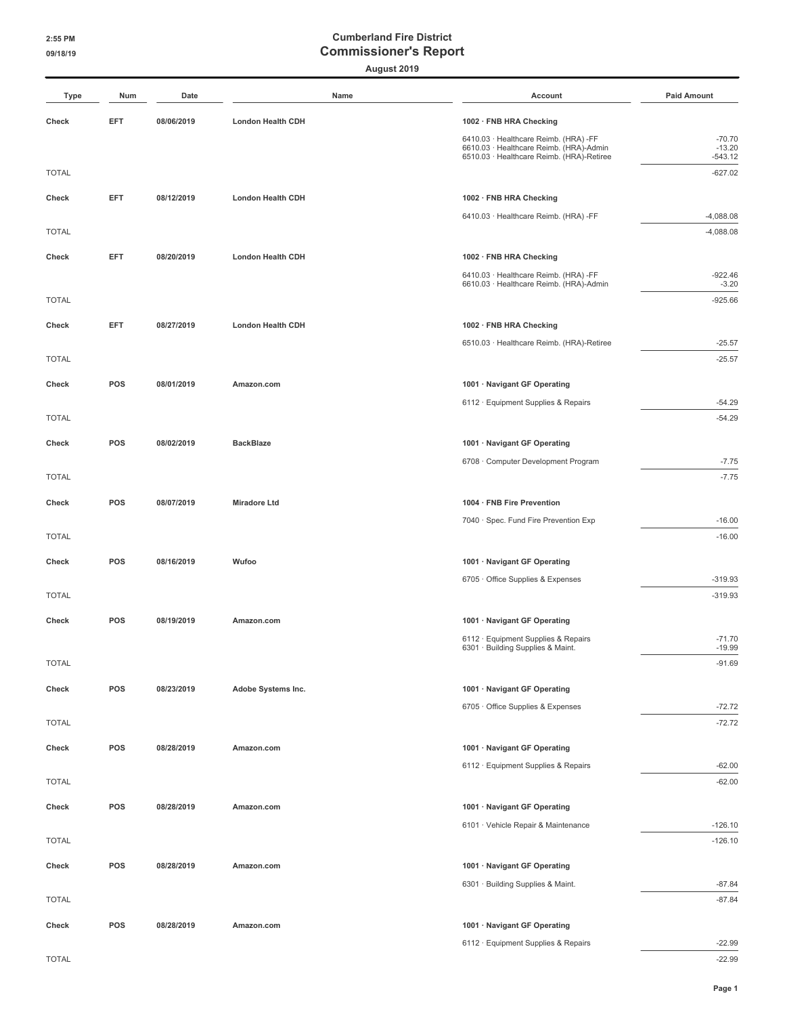#### **August 2019**

| <b>Type</b>  | Num        | Date       | Name                     | Account                                                                              | <b>Paid Amount</b>    |
|--------------|------------|------------|--------------------------|--------------------------------------------------------------------------------------|-----------------------|
| Check        | EFT        | 08/06/2019 | <b>London Health CDH</b> | 1002 · FNB HRA Checking                                                              |                       |
|              |            |            |                          | 6410.03 · Healthcare Reimb. (HRA) -FF                                                | $-70.70$              |
|              |            |            |                          | 6610.03 · Healthcare Reimb. (HRA)-Admin<br>6510.03 · Healthcare Reimb. (HRA)-Retiree | $-13.20$<br>$-543.12$ |
| <b>TOTAL</b> |            |            |                          |                                                                                      | $-627.02$             |
| Check        | EFT        | 08/12/2019 | London Health CDH        | 1002 · FNB HRA Checking                                                              |                       |
|              |            |            |                          | 6410.03 · Healthcare Reimb. (HRA) -FF                                                | $-4,088.08$           |
| <b>TOTAL</b> |            |            |                          |                                                                                      | $-4,088.08$           |
| Check        | <b>EFT</b> | 08/20/2019 | London Health CDH        | 1002 · FNB HRA Checking                                                              |                       |
|              |            |            |                          | 6410.03 · Healthcare Reimb. (HRA) -FF<br>6610.03 · Healthcare Reimb. (HRA)-Admin     | $-922.46$<br>$-3.20$  |
| <b>TOTAL</b> |            |            |                          |                                                                                      | $-925.66$             |
| Check        | EFT        | 08/27/2019 | <b>London Health CDH</b> | 1002 · FNB HRA Checking                                                              |                       |
|              |            |            |                          | 6510.03 · Healthcare Reimb. (HRA)-Retiree                                            | $-25.57$              |
| <b>TOTAL</b> |            |            |                          |                                                                                      | $-25.57$              |
| Check        | POS        | 08/01/2019 | Amazon.com               | 1001 · Navigant GF Operating                                                         |                       |
|              |            |            |                          | 6112 · Equipment Supplies & Repairs                                                  | $-54.29$              |
| <b>TOTAL</b> |            |            |                          |                                                                                      | $-54.29$              |
| Check        | POS        | 08/02/2019 | <b>BackBlaze</b>         | 1001 · Navigant GF Operating                                                         |                       |
| <b>TOTAL</b> |            |            |                          | 6708 · Computer Development Program                                                  | $-7.75$<br>$-7.75$    |
|              |            |            |                          |                                                                                      |                       |
| Check        | POS        | 08/07/2019 | <b>Miradore Ltd</b>      | 1004 · FNB Fire Prevention                                                           |                       |
| <b>TOTAL</b> |            |            |                          | 7040 · Spec. Fund Fire Prevention Exp                                                | $-16.00$<br>$-16.00$  |
| Check        | POS        | 08/16/2019 | Wufoo                    | 1001 · Navigant GF Operating                                                         |                       |
|              |            |            |                          | 6705 Office Supplies & Expenses                                                      | $-319.93$             |
| <b>TOTAL</b> |            |            |                          |                                                                                      | $-319.93$             |
| Check        | POS        | 08/19/2019 | Amazon.com               | 1001 · Navigant GF Operating                                                         |                       |
|              |            |            |                          | 6112 · Equipment Supplies & Repairs                                                  | $-71.70$              |
| <b>TOTAL</b> |            |            |                          | 6301 · Building Supplies & Maint.                                                    | $-19.99$<br>$-91.69$  |
|              |            |            |                          |                                                                                      |                       |
| Check        | POS        | 08/23/2019 | Adobe Systems Inc.       | 1001 · Navigant GF Operating<br>6705 · Office Supplies & Expenses                    | $-72.72$              |
| <b>TOTAL</b> |            |            |                          |                                                                                      | $-72.72$              |
| Check        | POS        | 08/28/2019 | Amazon.com               | 1001 · Navigant GF Operating                                                         |                       |
|              |            |            |                          | 6112 · Equipment Supplies & Repairs                                                  | $-62.00$              |
| <b>TOTAL</b> |            |            |                          |                                                                                      | $-62.00$              |
| Check        | POS        | 08/28/2019 | Amazon.com               | 1001 · Navigant GF Operating                                                         |                       |
|              |            |            |                          | 6101 · Vehicle Repair & Maintenance                                                  | $-126.10$             |
| <b>TOTAL</b> |            |            |                          |                                                                                      | $-126.10$             |
| Check        | POS        | 08/28/2019 | Amazon.com               | 1001 · Navigant GF Operating                                                         |                       |
|              |            |            |                          | 6301 · Building Supplies & Maint.                                                    | $-87.84$              |
| <b>TOTAL</b> |            |            |                          |                                                                                      | $-87.84$              |
| Check        | POS        | 08/28/2019 | Amazon.com               | 1001 · Navigant GF Operating                                                         |                       |
|              |            |            |                          | 6112 · Equipment Supplies & Repairs                                                  | $-22.99$              |

TOTAL -22.99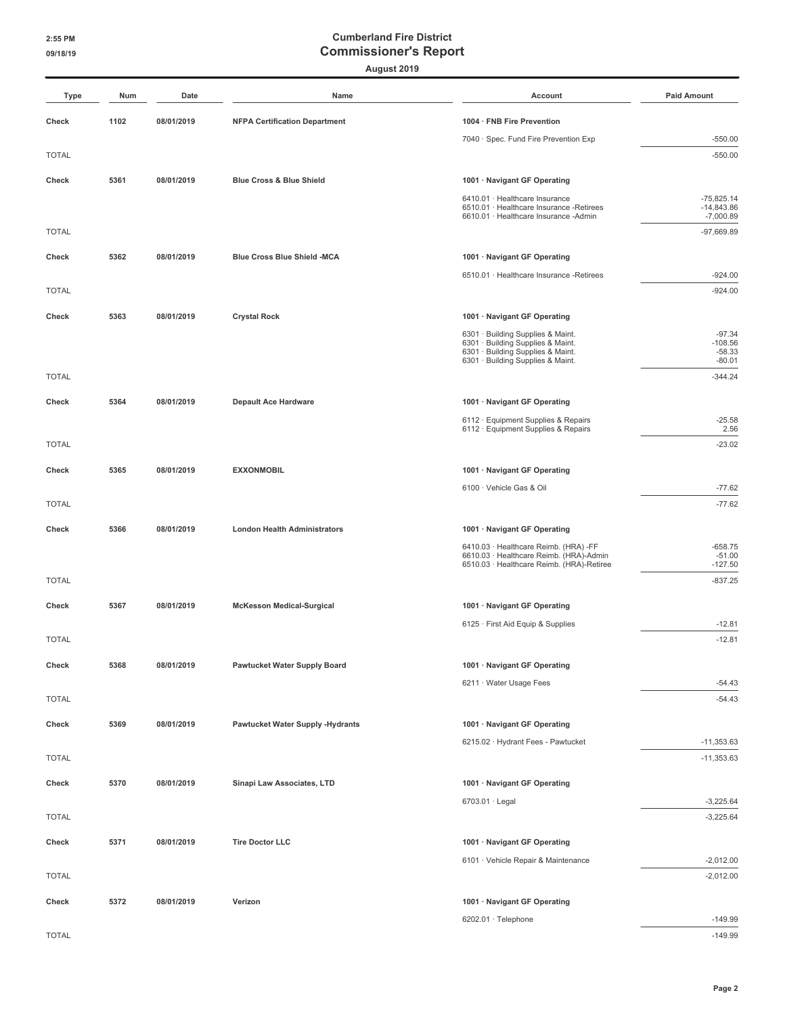| Type         | Num  | Date       | Name                                    | Account                                                                                                                                          | <b>Paid Amount</b>                            |
|--------------|------|------------|-----------------------------------------|--------------------------------------------------------------------------------------------------------------------------------------------------|-----------------------------------------------|
| Check        | 1102 | 08/01/2019 | <b>NFPA Certification Department</b>    | 1004 · FNB Fire Prevention                                                                                                                       |                                               |
|              |      |            |                                         | 7040 · Spec. Fund Fire Prevention Exp                                                                                                            | $-550.00$                                     |
| <b>TOTAL</b> |      |            |                                         |                                                                                                                                                  | $-550.00$                                     |
| Check        | 5361 | 08/01/2019 | <b>Blue Cross &amp; Blue Shield</b>     | 1001 · Navigant GF Operating                                                                                                                     |                                               |
|              |      |            |                                         | 6410.01 · Healthcare Insurance<br>6510.01 · Healthcare Insurance -Retirees<br>6610.01 · Healthcare Insurance -Admin                              | $-75,825.14$<br>$-14,843.86$<br>$-7,000.89$   |
| <b>TOTAL</b> |      |            |                                         |                                                                                                                                                  | $-97,669.89$                                  |
| Check        | 5362 | 08/01/2019 | <b>Blue Cross Blue Shield -MCA</b>      | 1001 · Navigant GF Operating                                                                                                                     |                                               |
|              |      |            |                                         | 6510.01 · Healthcare Insurance -Retirees                                                                                                         | $-924.00$                                     |
| <b>TOTAL</b> |      |            |                                         |                                                                                                                                                  | $-924.00$                                     |
| Check        | 5363 | 08/01/2019 | <b>Crystal Rock</b>                     | 1001 · Navigant GF Operating                                                                                                                     |                                               |
|              |      |            |                                         | 6301 · Building Supplies & Maint.<br>6301 · Building Supplies & Maint.<br>6301 · Building Supplies & Maint.<br>6301 · Building Supplies & Maint. | $-97.34$<br>$-108.56$<br>$-58.33$<br>$-80.01$ |
| <b>TOTAL</b> |      |            |                                         |                                                                                                                                                  | $-344.24$                                     |
| Check        | 5364 | 08/01/2019 | <b>Depault Ace Hardware</b>             | 1001 · Navigant GF Operating                                                                                                                     |                                               |
|              |      |            |                                         | 6112 · Equipment Supplies & Repairs                                                                                                              | $-25.58$                                      |
| <b>TOTAL</b> |      |            |                                         | 6112 · Equipment Supplies & Repairs                                                                                                              | 2.56<br>$-23.02$                              |
|              |      |            |                                         |                                                                                                                                                  |                                               |
| Check        | 5365 | 08/01/2019 | <b>EXXONMOBIL</b>                       | 1001 · Navigant GF Operating<br>6100 · Vehicle Gas & Oil                                                                                         | $-77.62$                                      |
| <b>TOTAL</b> |      |            |                                         |                                                                                                                                                  | $-77.62$                                      |
| Check        | 5366 | 08/01/2019 | <b>London Health Administrators</b>     | 1001 · Navigant GF Operating                                                                                                                     |                                               |
|              |      |            |                                         | 6410.03 · Healthcare Reimb. (HRA) -FF                                                                                                            | $-658.75$                                     |
|              |      |            |                                         | 6610.03 · Healthcare Reimb. (HRA)-Admin<br>6510.03 · Healthcare Reimb. (HRA)-Retiree                                                             | $-51.00$<br>$-127.50$                         |
| <b>TOTAL</b> |      |            |                                         |                                                                                                                                                  | $-837.25$                                     |
| Check        | 5367 | 08/01/2019 | <b>McKesson Medical-Surgical</b>        | 1001 · Navigant GF Operating                                                                                                                     |                                               |
|              |      |            |                                         | 6125 · First Aid Equip & Supplies                                                                                                                | $-12.81$                                      |
| <b>TOTAL</b> |      |            |                                         |                                                                                                                                                  | $-12.81$                                      |
| Check        | 5368 | 08/01/2019 | <b>Pawtucket Water Supply Board</b>     | 1001 · Navigant GF Operating                                                                                                                     |                                               |
|              |      |            |                                         | 6211 · Water Usage Fees                                                                                                                          | $-54.43$                                      |
| <b>TOTAL</b> |      |            |                                         |                                                                                                                                                  | $-54.43$                                      |
| Check        | 5369 | 08/01/2019 | <b>Pawtucket Water Supply -Hydrants</b> | 1001 · Navigant GF Operating                                                                                                                     |                                               |
|              |      |            |                                         | 6215.02 · Hydrant Fees - Pawtucket                                                                                                               | $-11,353.63$                                  |
| <b>TOTAL</b> |      |            |                                         |                                                                                                                                                  | $-11,353.63$                                  |
| Check        | 5370 | 08/01/2019 | Sinapi Law Associates, LTD              | 1001 · Navigant GF Operating                                                                                                                     |                                               |
| <b>TOTAL</b> |      |            |                                         | 6703.01 · Legal                                                                                                                                  | $-3,225.64$<br>$-3,225.64$                    |
|              |      |            |                                         |                                                                                                                                                  |                                               |
| Check        | 5371 | 08/01/2019 | <b>Tire Doctor LLC</b>                  | 1001 · Navigant GF Operating                                                                                                                     |                                               |
| <b>TOTAL</b> |      |            |                                         | 6101 · Vehicle Repair & Maintenance                                                                                                              | $-2,012.00$<br>$-2,012.00$                    |
|              |      |            |                                         |                                                                                                                                                  |                                               |
| Check        | 5372 | 08/01/2019 | Verizon                                 | 1001 · Navigant GF Operating<br>6202.01 · Telephone                                                                                              | $-149.99$                                     |
| <b>TOTAL</b> |      |            |                                         |                                                                                                                                                  | $-149.99$                                     |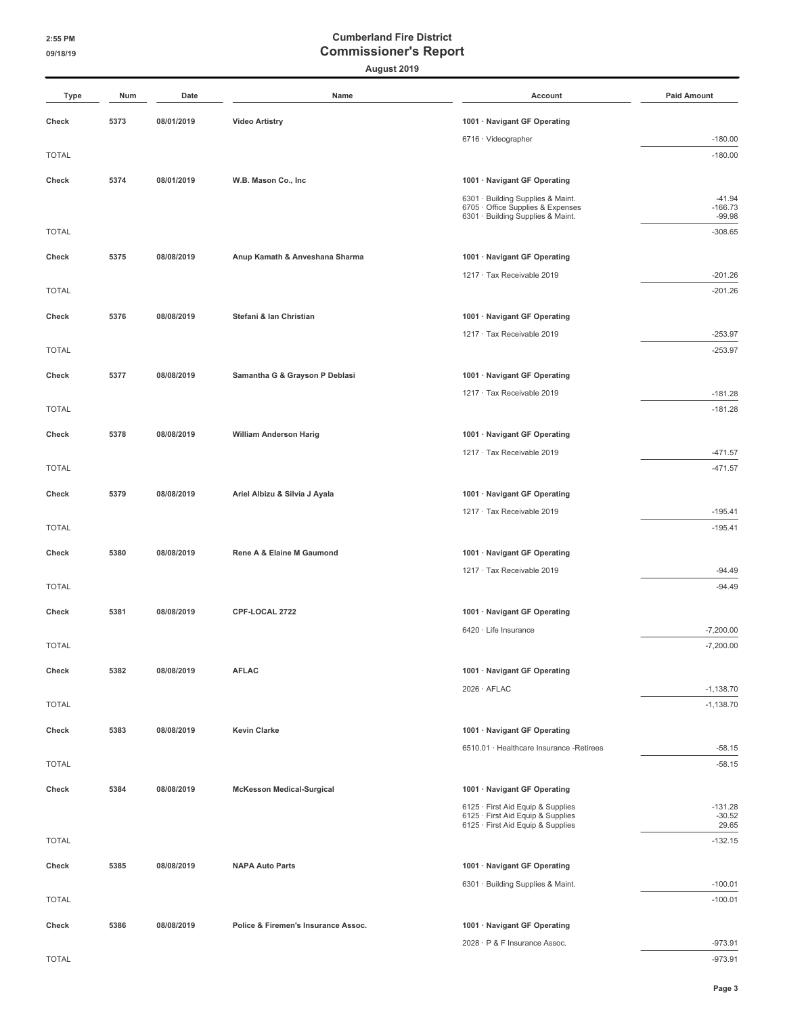| Type         | Num  | Date       | Name                                | Account                                                                | <b>Paid Amount</b>    |
|--------------|------|------------|-------------------------------------|------------------------------------------------------------------------|-----------------------|
| Check        | 5373 | 08/01/2019 | <b>Video Artistry</b>               | 1001 · Navigant GF Operating                                           |                       |
|              |      |            |                                     | 6716 · Videographer                                                    | $-180.00$             |
| <b>TOTAL</b> |      |            |                                     |                                                                        | $-180.00$             |
| Check        | 5374 | 08/01/2019 | W.B. Mason Co., Inc.                | 1001 · Navigant GF Operating                                           |                       |
|              |      |            |                                     | 6301 · Building Supplies & Maint.                                      | $-41.94$              |
|              |      |            |                                     | 6705 · Office Supplies & Expenses<br>6301 · Building Supplies & Maint. | $-166.73$<br>$-99.98$ |
| <b>TOTAL</b> |      |            |                                     |                                                                        | $-308.65$             |
| Check        | 5375 | 08/08/2019 | Anup Kamath & Anveshana Sharma      | 1001 · Navigant GF Operating                                           |                       |
|              |      |            |                                     | 1217 · Tax Receivable 2019                                             | $-201.26$             |
| <b>TOTAL</b> |      |            |                                     |                                                                        | $-201.26$             |
| Check        | 5376 | 08/08/2019 | Stefani & Ian Christian             | 1001 · Navigant GF Operating                                           |                       |
|              |      |            |                                     | 1217 · Tax Receivable 2019                                             | $-253.97$             |
| <b>TOTAL</b> |      |            |                                     |                                                                        | $-253.97$             |
| Check        | 5377 | 08/08/2019 | Samantha G & Grayson P Deblasi      | 1001 · Navigant GF Operating                                           |                       |
|              |      |            |                                     | 1217 · Tax Receivable 2019                                             | $-181.28$             |
| <b>TOTAL</b> |      |            |                                     |                                                                        | $-181.28$             |
| Check        | 5378 | 08/08/2019 | <b>William Anderson Harig</b>       | 1001 · Navigant GF Operating                                           |                       |
|              |      |            |                                     | 1217 · Tax Receivable 2019                                             | $-471.57$             |
| <b>TOTAL</b> |      |            |                                     |                                                                        | $-471.57$             |
| Check        | 5379 | 08/08/2019 | Ariel Albizu & Silvia J Ayala       | 1001 · Navigant GF Operating                                           |                       |
|              |      |            |                                     | 1217 · Tax Receivable 2019                                             | $-195.41$             |
| <b>TOTAL</b> |      |            |                                     |                                                                        | $-195.41$             |
| Check        | 5380 | 08/08/2019 | Rene A & Elaine M Gaumond           | 1001 · Navigant GF Operating                                           |                       |
|              |      |            |                                     | 1217 · Tax Receivable 2019                                             | $-94.49$              |
| <b>TOTAL</b> |      |            |                                     |                                                                        | $-94.49$              |
| Check        | 5381 | 08/08/2019 | CPF-LOCAL 2722                      | 1001 · Navigant GF Operating                                           |                       |
|              |      |            |                                     | 6420 · Life Insurance                                                  | $-7,200.00$           |
| <b>TOTAL</b> |      |            |                                     |                                                                        | $-7,200.00$           |
| Check        | 5382 | 08/08/2019 | <b>AFLAC</b>                        | 1001 · Navigant GF Operating                                           |                       |
|              |      |            |                                     | $2026 \cdot AFLAC$                                                     | $-1,138.70$           |
| <b>TOTAL</b> |      |            |                                     |                                                                        | $-1,138.70$           |
| Check        | 5383 | 08/08/2019 | <b>Kevin Clarke</b>                 | 1001 · Navigant GF Operating                                           |                       |
|              |      |            |                                     | 6510.01 · Healthcare Insurance -Retirees                               | $-58.15$              |
| <b>TOTAL</b> |      |            |                                     |                                                                        | $-58.15$              |
| Check        | 5384 | 08/08/2019 | <b>McKesson Medical-Surgical</b>    | 1001 · Navigant GF Operating                                           |                       |
|              |      |            |                                     | 6125 · First Aid Equip & Supplies                                      | $-131.28$             |
|              |      |            |                                     | 6125 · First Aid Equip & Supplies<br>6125 · First Aid Equip & Supplies | $-30.52$<br>29.65     |
| <b>TOTAL</b> |      |            |                                     |                                                                        | $-132.15$             |
| Check        | 5385 | 08/08/2019 | <b>NAPA Auto Parts</b>              | 1001 · Navigant GF Operating                                           |                       |
|              |      |            |                                     | 6301 · Building Supplies & Maint.                                      | $-100.01$             |
| <b>TOTAL</b> |      |            |                                     |                                                                        | $-100.01$             |
| Check        | 5386 | 08/08/2019 | Police & Firemen's Insurance Assoc. | 1001 · Navigant GF Operating                                           |                       |
|              |      |            |                                     | 2028 · P & F Insurance Assoc.                                          | $-973.91$             |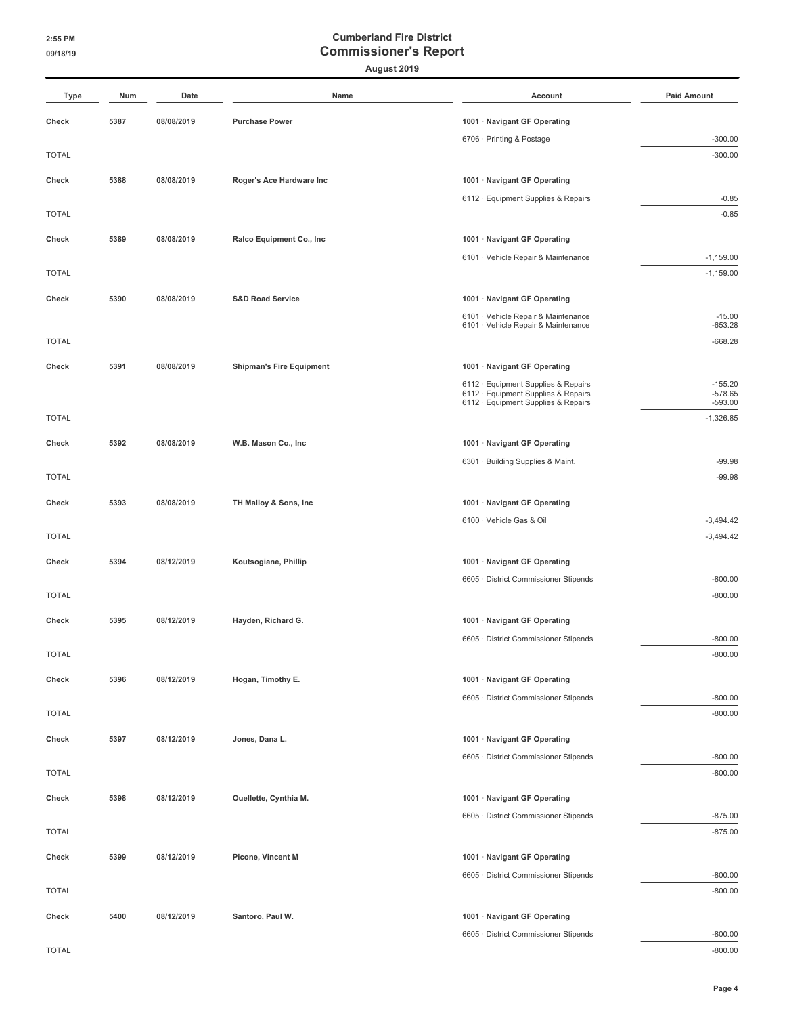| Type         | Num  | Date       | Name                            | Account                                                                    | <b>Paid Amount</b>     |
|--------------|------|------------|---------------------------------|----------------------------------------------------------------------------|------------------------|
| Check        | 5387 | 08/08/2019 | <b>Purchase Power</b>           | 1001 · Navigant GF Operating                                               |                        |
|              |      |            |                                 | 6706 · Printing & Postage                                                  | $-300.00$              |
| <b>TOTAL</b> |      |            |                                 |                                                                            | $-300.00$              |
| Check        | 5388 | 08/08/2019 | Roger's Ace Hardware Inc        | 1001 · Navigant GF Operating                                               |                        |
|              |      |            |                                 | 6112 · Equipment Supplies & Repairs                                        | $-0.85$                |
| <b>TOTAL</b> |      |            |                                 |                                                                            | $-0.85$                |
| Check        | 5389 | 08/08/2019 | Ralco Equipment Co., Inc        | 1001 · Navigant GF Operating                                               |                        |
|              |      |            |                                 | 6101 · Vehicle Repair & Maintenance                                        | $-1,159.00$            |
| <b>TOTAL</b> |      |            |                                 |                                                                            | $-1,159.00$            |
| Check        | 5390 | 08/08/2019 | <b>S&amp;D Road Service</b>     | 1001 · Navigant GF Operating                                               |                        |
|              |      |            |                                 | 6101 · Vehicle Repair & Maintenance<br>6101 · Vehicle Repair & Maintenance | $-15.00$<br>$-653.28$  |
| <b>TOTAL</b> |      |            |                                 |                                                                            | $-668.28$              |
| Check        | 5391 | 08/08/2019 | <b>Shipman's Fire Equipment</b> | 1001 · Navigant GF Operating                                               |                        |
|              |      |            |                                 | 6112 · Equipment Supplies & Repairs                                        | $-155.20$              |
|              |      |            |                                 | 6112 · Equipment Supplies & Repairs<br>6112 · Equipment Supplies & Repairs | $-578.65$<br>$-593.00$ |
| <b>TOTAL</b> |      |            |                                 |                                                                            | $-1,326.85$            |
| Check        | 5392 | 08/08/2019 | W.B. Mason Co., Inc             | 1001 · Navigant GF Operating                                               |                        |
|              |      |            |                                 | 6301 · Building Supplies & Maint.                                          | $-99.98$               |
| <b>TOTAL</b> |      |            |                                 |                                                                            | $-99.98$               |
| Check        | 5393 | 08/08/2019 | TH Malloy & Sons, Inc           | 1001 · Navigant GF Operating                                               |                        |
|              |      |            |                                 | 6100 · Vehicle Gas & Oil                                                   | $-3,494.42$            |
| <b>TOTAL</b> |      |            |                                 |                                                                            | $-3,494.42$            |
| Check        | 5394 | 08/12/2019 | Koutsogiane, Phillip            | 1001 · Navigant GF Operating                                               |                        |
|              |      |            |                                 | 6605 · District Commissioner Stipends                                      | $-800.00$              |
| <b>TOTAL</b> |      |            |                                 |                                                                            | $-800.00$              |
| Check        | 5395 | 08/12/2019 | Hayden, Richard G.              | 1001 · Navigant GF Operating                                               |                        |
|              |      |            |                                 | 6605 · District Commissioner Stipends                                      | $-800.00$              |
| <b>TOTAL</b> |      |            |                                 |                                                                            | $-800.00$              |
| Check        | 5396 | 08/12/2019 | Hogan, Timothy E.               | 1001 · Navigant GF Operating                                               |                        |
|              |      |            |                                 | 6605 · District Commissioner Stipends                                      | $-800.00$              |
| <b>TOTAL</b> |      |            |                                 |                                                                            | $-800.00$              |
| Check        | 5397 | 08/12/2019 | Jones, Dana L.                  | 1001 · Navigant GF Operating                                               |                        |
| <b>TOTAL</b> |      |            |                                 | 6605 · District Commissioner Stipends                                      | $-800.00$<br>$-800.00$ |
|              |      |            |                                 |                                                                            |                        |
| Check        | 5398 | 08/12/2019 | Ouellette, Cynthia M.           | 1001 · Navigant GF Operating                                               |                        |
| <b>TOTAL</b> |      |            |                                 | 6605 · District Commissioner Stipends                                      | $-875.00$<br>$-875.00$ |
|              |      |            |                                 |                                                                            |                        |
| Check        | 5399 | 08/12/2019 | Picone, Vincent M               | 1001 · Navigant GF Operating<br>6605 · District Commissioner Stipends      | $-800.00$              |
| <b>TOTAL</b> |      |            |                                 |                                                                            | $-800.00$              |
| Check        | 5400 | 08/12/2019 | Santoro, Paul W.                | 1001 · Navigant GF Operating                                               |                        |
|              |      |            |                                 | 6605 · District Commissioner Stipends                                      | $-800.00$              |
| <b>TOTAL</b> |      |            |                                 |                                                                            | $-800.00$              |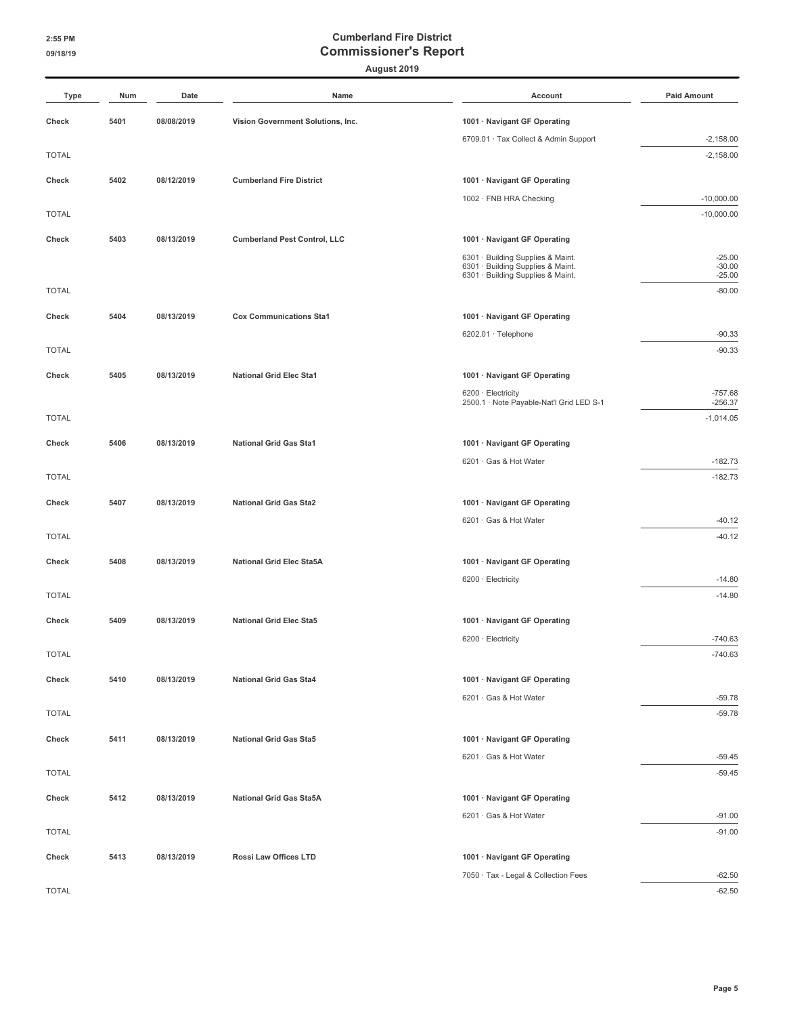#### **August 2019**

| Type         | Num  | Date       | Name                                | Account                                                                | <b>Paid Amount</b>   |
|--------------|------|------------|-------------------------------------|------------------------------------------------------------------------|----------------------|
| Check        | 5401 | 08/08/2019 | Vision Government Solutions, Inc.   | 1001 · Navigant GF Operating                                           |                      |
|              |      |            |                                     | 6709.01 · Tax Collect & Admin Support                                  | $-2,158.00$          |
| <b>TOTAL</b> |      |            |                                     |                                                                        | $-2,158.00$          |
| Check        | 5402 | 08/12/2019 | <b>Cumberland Fire District</b>     | 1001 · Navigant GF Operating                                           |                      |
|              |      |            |                                     | 1002 · FNB HRA Checking                                                | $-10,000.00$         |
| <b>TOTAL</b> |      |            |                                     |                                                                        | $-10,000.00$         |
| Check        | 5403 | 08/13/2019 | <b>Cumberland Pest Control, LLC</b> | 1001 · Navigant GF Operating                                           |                      |
|              |      |            |                                     | 6301 · Building Supplies & Maint.                                      | $-25.00$             |
|              |      |            |                                     | 6301 · Building Supplies & Maint.<br>6301 · Building Supplies & Maint. | $-30.00$<br>$-25.00$ |
| <b>TOTAL</b> |      |            |                                     |                                                                        | $-80.00$             |
| Check        | 5404 | 08/13/2019 | <b>Cox Communications Sta1</b>      | 1001 · Navigant GF Operating                                           |                      |
|              |      |            |                                     | 6202.01 · Telephone                                                    | $-90.33$             |
| <b>TOTAL</b> |      |            |                                     |                                                                        | $-90.33$             |
| Check        | 5405 | 08/13/2019 | <b>National Grid Elec Sta1</b>      | 1001 · Navigant GF Operating                                           |                      |
|              |      |            |                                     | 6200 · Electricity                                                     | $-757.68$            |
|              |      |            |                                     | 2500.1 · Note Payable-Nat'l Grid LED S-1                               | $-256.37$            |
| <b>TOTAL</b> |      |            |                                     |                                                                        | $-1,014.05$          |
| Check        | 5406 | 08/13/2019 | <b>National Grid Gas Sta1</b>       | 1001 · Navigant GF Operating                                           |                      |
|              |      |            |                                     | 6201 · Gas & Hot Water                                                 | $-182.73$            |
| <b>TOTAL</b> |      |            |                                     |                                                                        | $-182.73$            |
| Check        | 5407 | 08/13/2019 | <b>National Grid Gas Sta2</b>       | 1001 · Navigant GF Operating                                           |                      |
|              |      |            |                                     | 6201 · Gas & Hot Water                                                 | $-40.12$             |
| <b>TOTAL</b> |      |            |                                     |                                                                        | $-40.12$             |
| Check        | 5408 | 08/13/2019 | <b>National Grid Elec Sta5A</b>     | 1001 · Navigant GF Operating                                           |                      |
|              |      |            |                                     | 6200 · Electricity                                                     | $-14.80$             |
| <b>TOTAL</b> |      |            |                                     |                                                                        | $-14.80$             |
| Check        | 5409 | 08/13/2019 | <b>National Grid Elec Sta5</b>      | 1001 · Navigant GF Operating                                           |                      |
|              |      |            |                                     | 6200 · Electricity                                                     | $-740.63$            |
| <b>TOTAL</b> |      |            |                                     |                                                                        | $-740.63$            |
| Check        | 5410 | 08/13/2019 | <b>National Grid Gas Sta4</b>       | 1001 · Navigant GF Operating                                           |                      |
|              |      |            |                                     | 6201 · Gas & Hot Water                                                 | $-59.78$             |
| <b>TOTAL</b> |      |            |                                     |                                                                        | $-59.78$             |
| Check        | 5411 | 08/13/2019 | <b>National Grid Gas Sta5</b>       | 1001 · Navigant GF Operating                                           |                      |
|              |      |            |                                     | 6201 · Gas & Hot Water                                                 | $-59.45$             |
| <b>TOTAL</b> |      |            |                                     |                                                                        | $-59.45$             |
| Check        | 5412 | 08/13/2019 | <b>National Grid Gas Sta5A</b>      | 1001 · Navigant GF Operating                                           |                      |
|              |      |            |                                     | 6201 · Gas & Hot Water                                                 | $-91.00$             |
| <b>TOTAL</b> |      |            |                                     |                                                                        | $-91.00$             |
| Check        | 5413 | 08/13/2019 | Rossi Law Offices LTD               | 1001 · Navigant GF Operating                                           |                      |
|              |      |            |                                     | 7050 · Tax - Legal & Collection Fees                                   | $-62.50$             |
| <b>TOTAL</b> |      |            |                                     |                                                                        | $-62.50$             |

**Page 5**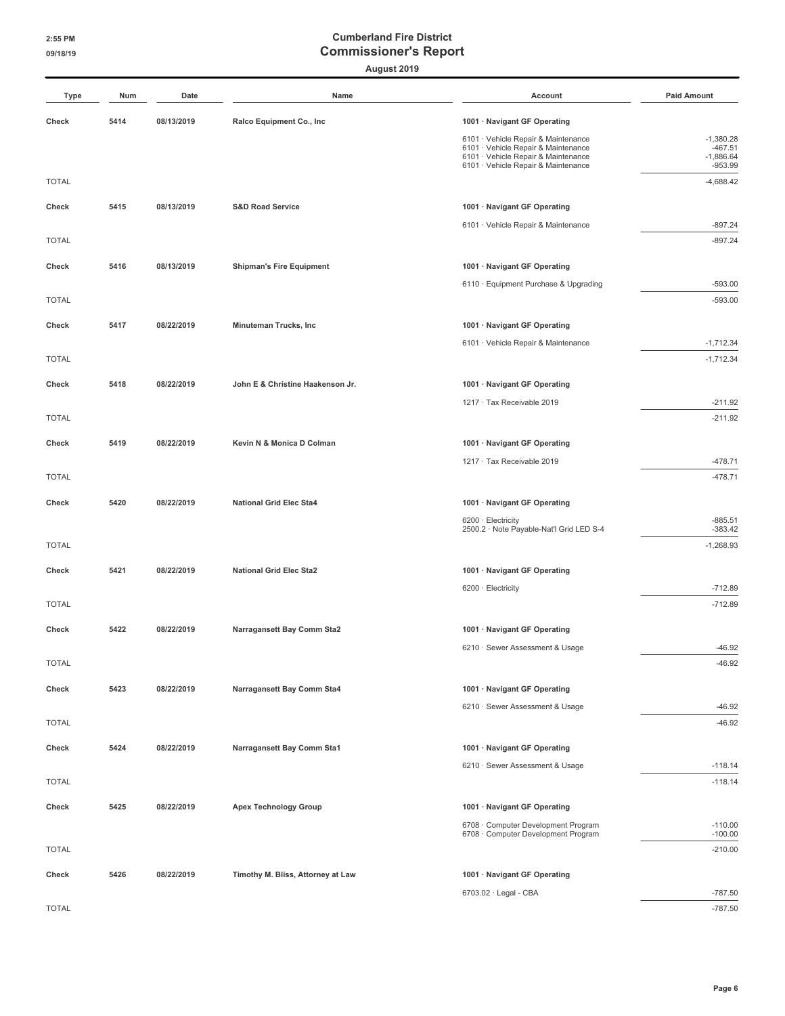| Type         | Num  | Date       | Name                              | Account                                                                    | <b>Paid Amount</b>       |
|--------------|------|------------|-----------------------------------|----------------------------------------------------------------------------|--------------------------|
| Check        | 5414 | 08/13/2019 | Ralco Equipment Co., Inc          | 1001 · Navigant GF Operating                                               |                          |
|              |      |            |                                   | 6101 · Vehicle Repair & Maintenance                                        | $-1,380.28$              |
|              |      |            |                                   | 6101 · Vehicle Repair & Maintenance<br>6101 · Vehicle Repair & Maintenance | $-467.51$<br>$-1,886.64$ |
| <b>TOTAL</b> |      |            |                                   | 6101 · Vehicle Repair & Maintenance                                        | $-953.99$<br>$-4,688.42$ |
|              |      |            |                                   |                                                                            |                          |
| Check        | 5415 | 08/13/2019 | <b>S&amp;D Road Service</b>       | 1001 · Navigant GF Operating                                               |                          |
|              |      |            |                                   | 6101 · Vehicle Repair & Maintenance                                        | $-897.24$                |
| <b>TOTAL</b> |      |            |                                   |                                                                            | $-897.24$                |
| Check        | 5416 | 08/13/2019 | <b>Shipman's Fire Equipment</b>   | 1001 · Navigant GF Operating                                               |                          |
|              |      |            |                                   | 6110 · Equipment Purchase & Upgrading                                      | $-593.00$                |
| <b>TOTAL</b> |      |            |                                   |                                                                            | $-593.00$                |
| Check        | 5417 | 08/22/2019 | Minuteman Trucks, Inc             | 1001 · Navigant GF Operating                                               |                          |
|              |      |            |                                   | 6101 · Vehicle Repair & Maintenance                                        | $-1,712.34$              |
| <b>TOTAL</b> |      |            |                                   |                                                                            | $-1,712.34$              |
| Check        | 5418 | 08/22/2019 | John E & Christine Haakenson Jr.  | 1001 · Navigant GF Operating                                               |                          |
|              |      |            |                                   | 1217 · Tax Receivable 2019                                                 | $-211.92$                |
| <b>TOTAL</b> |      |            |                                   |                                                                            | $-211.92$                |
| Check        | 5419 | 08/22/2019 | Kevin N & Monica D Colman         | 1001 · Navigant GF Operating                                               |                          |
|              |      |            |                                   | 1217 · Tax Receivable 2019                                                 | $-478.71$                |
| <b>TOTAL</b> |      |            |                                   |                                                                            | $-478.71$                |
| Check        | 5420 | 08/22/2019 | National Grid Elec Sta4           | 1001 · Navigant GF Operating                                               |                          |
|              |      |            |                                   | 6200 · Electricity                                                         | $-885.51$                |
|              |      |            |                                   | 2500.2 · Note Payable-Nat'l Grid LED S-4                                   | $-383.42$                |
| <b>TOTAL</b> |      |            |                                   |                                                                            | $-1,268.93$              |
| Check        | 5421 | 08/22/2019 | <b>National Grid Elec Sta2</b>    | 1001 · Navigant GF Operating                                               |                          |
|              |      |            |                                   | 6200 · Electricity                                                         | $-712.89$                |
| <b>TOTAL</b> |      |            |                                   |                                                                            | $-712.89$                |
| Check        | 5422 | 08/22/2019 | Narragansett Bay Comm Sta2        | 1001 · Navigant GF Operating                                               |                          |
|              |      |            |                                   | 6210 · Sewer Assessment & Usage                                            | $-46.92$                 |
| <b>TOTAL</b> |      |            |                                   |                                                                            | $-46.92$                 |
| Check        | 5423 | 08/22/2019 | Narragansett Bay Comm Sta4        | 1001 · Navigant GF Operating                                               |                          |
|              |      |            |                                   | 6210 · Sewer Assessment & Usage                                            | $-46.92$                 |
| <b>TOTAL</b> |      |            |                                   |                                                                            | $-46.92$                 |
| Check        | 5424 | 08/22/2019 | Narragansett Bay Comm Sta1        | 1001 · Navigant GF Operating                                               |                          |
|              |      |            |                                   | 6210 · Sewer Assessment & Usage                                            | $-118.14$                |
| <b>TOTAL</b> |      |            |                                   |                                                                            | $-118.14$                |
|              | 5425 | 08/22/2019 |                                   |                                                                            |                          |
| Check        |      |            | <b>Apex Technology Group</b>      | 1001 · Navigant GF Operating<br>6708 Computer Development Program          | $-110.00$                |
|              |      |            |                                   | 6708 · Computer Development Program                                        | $-100.00$                |
| <b>TOTAL</b> |      |            |                                   |                                                                            | $-210.00$                |
| Check        | 5426 | 08/22/2019 | Timothy M. Bliss, Attorney at Law | 1001 · Navigant GF Operating                                               |                          |
|              |      |            |                                   | 6703.02 · Legal - CBA                                                      | $-787.50$                |
| <b>TOTAL</b> |      |            |                                   |                                                                            | $-787.50$                |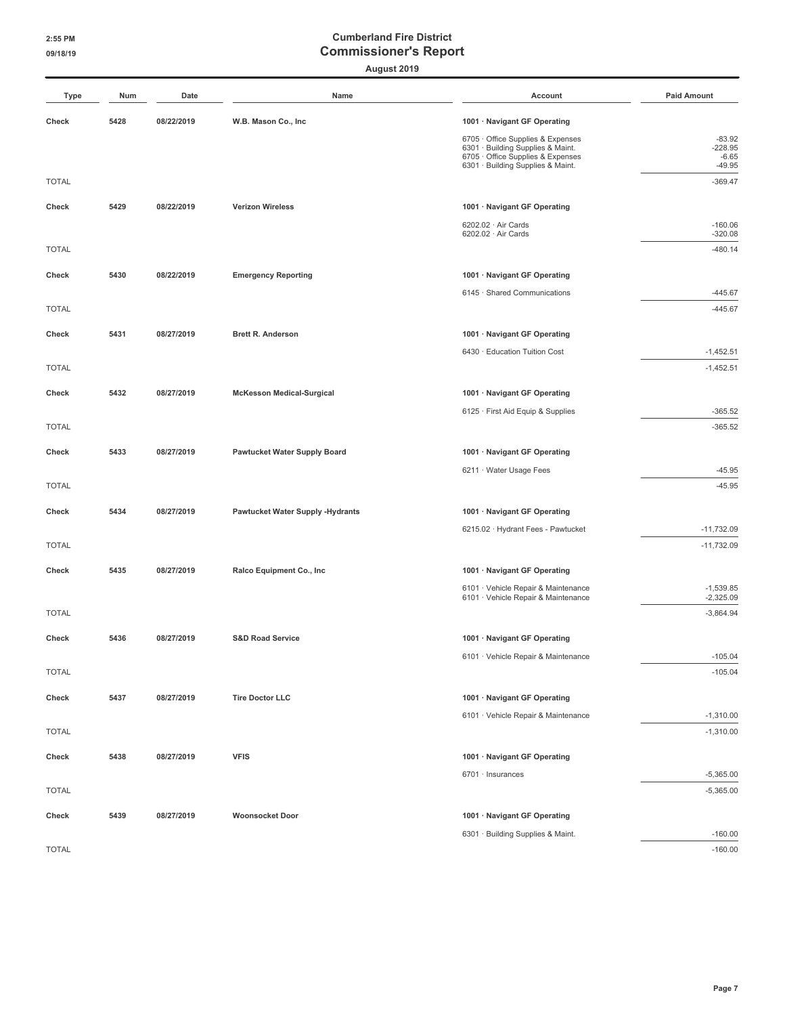| Type         | Num  | Date       | Name                                    | Account                                                                | <b>Paid Amount</b>         |
|--------------|------|------------|-----------------------------------------|------------------------------------------------------------------------|----------------------------|
| Check        | 5428 | 08/22/2019 | W.B. Mason Co., Inc                     | 1001 · Navigant GF Operating                                           |                            |
|              |      |            |                                         | 6705 · Office Supplies & Expenses                                      | $-83.92$                   |
|              |      |            |                                         | 6301 · Building Supplies & Maint.<br>6705 · Office Supplies & Expenses | $-228.95$<br>$-6.65$       |
|              |      |            |                                         | 6301 · Building Supplies & Maint.                                      | $-49.95$                   |
| <b>TOTAL</b> |      |            |                                         |                                                                        | $-369.47$                  |
| Check        | 5429 | 08/22/2019 | <b>Verizon Wireless</b>                 | 1001 · Navigant GF Operating                                           |                            |
|              |      |            |                                         | 6202.02 · Air Cards<br>6202.02 · Air Cards                             | $-160.06$<br>$-320.08$     |
| <b>TOTAL</b> |      |            |                                         |                                                                        | $-480.14$                  |
| Check        | 5430 | 08/22/2019 | <b>Emergency Reporting</b>              | 1001 · Navigant GF Operating                                           |                            |
|              |      |            |                                         | 6145 · Shared Communications                                           | $-445.67$                  |
| <b>TOTAL</b> |      |            |                                         |                                                                        | $-445.67$                  |
| Check        | 5431 | 08/27/2019 | <b>Brett R. Anderson</b>                | 1001 · Navigant GF Operating                                           |                            |
|              |      |            |                                         | 6430 · Education Tuition Cost                                          | $-1,452.51$                |
| <b>TOTAL</b> |      |            |                                         |                                                                        | $-1,452.51$                |
| Check        | 5432 | 08/27/2019 | <b>McKesson Medical-Surgical</b>        | 1001 · Navigant GF Operating                                           |                            |
|              |      |            |                                         | 6125 · First Aid Equip & Supplies                                      | $-365.52$                  |
| <b>TOTAL</b> |      |            |                                         |                                                                        | $-365.52$                  |
| Check        | 5433 | 08/27/2019 | Pawtucket Water Supply Board            | 1001 · Navigant GF Operating                                           |                            |
|              |      |            |                                         | 6211 · Water Usage Fees                                                | $-45.95$                   |
| <b>TOTAL</b> |      |            |                                         |                                                                        | $-45.95$                   |
| Check        | 5434 | 08/27/2019 | <b>Pawtucket Water Supply -Hydrants</b> | 1001 · Navigant GF Operating                                           |                            |
|              |      |            |                                         | 6215.02 · Hydrant Fees - Pawtucket                                     | $-11,732.09$               |
| <b>TOTAL</b> |      |            |                                         |                                                                        | $-11,732.09$               |
| Check        | 5435 | 08/27/2019 | Ralco Equipment Co., Inc                | 1001 · Navigant GF Operating                                           |                            |
|              |      |            |                                         | 6101 · Vehicle Repair & Maintenance                                    | $-1,539.85$                |
| <b>TOTAL</b> |      |            |                                         | 6101 · Vehicle Repair & Maintenance                                    | $-2,325.09$<br>$-3,864.94$ |
|              |      |            |                                         |                                                                        |                            |
| Check        | 5436 | 08/27/2019 | <b>S&amp;D Road Service</b>             | 1001 · Navigant GF Operating                                           |                            |
|              |      |            |                                         | 6101 · Vehicle Repair & Maintenance                                    | $-105.04$                  |
| <b>TOTAL</b> |      |            |                                         |                                                                        | $-105.04$                  |
| Check        | 5437 | 08/27/2019 | <b>Tire Doctor LLC</b>                  | 1001 · Navigant GF Operating                                           |                            |
|              |      |            |                                         | 6101 · Vehicle Repair & Maintenance                                    | $-1,310.00$                |
| <b>TOTAL</b> |      |            |                                         |                                                                        | $-1,310.00$                |
| Check        | 5438 | 08/27/2019 | <b>VFIS</b>                             | 1001 · Navigant GF Operating                                           |                            |
|              |      |            |                                         | 6701 · Insurances                                                      | $-5,365.00$                |
| <b>TOTAL</b> |      |            |                                         |                                                                        | $-5,365.00$                |
| Check        | 5439 | 08/27/2019 | <b>Woonsocket Door</b>                  | 1001 · Navigant GF Operating                                           |                            |
|              |      |            |                                         | 6301 · Building Supplies & Maint.                                      | $-160.00$                  |
| <b>TOTAL</b> |      |            |                                         |                                                                        | $-160.00$                  |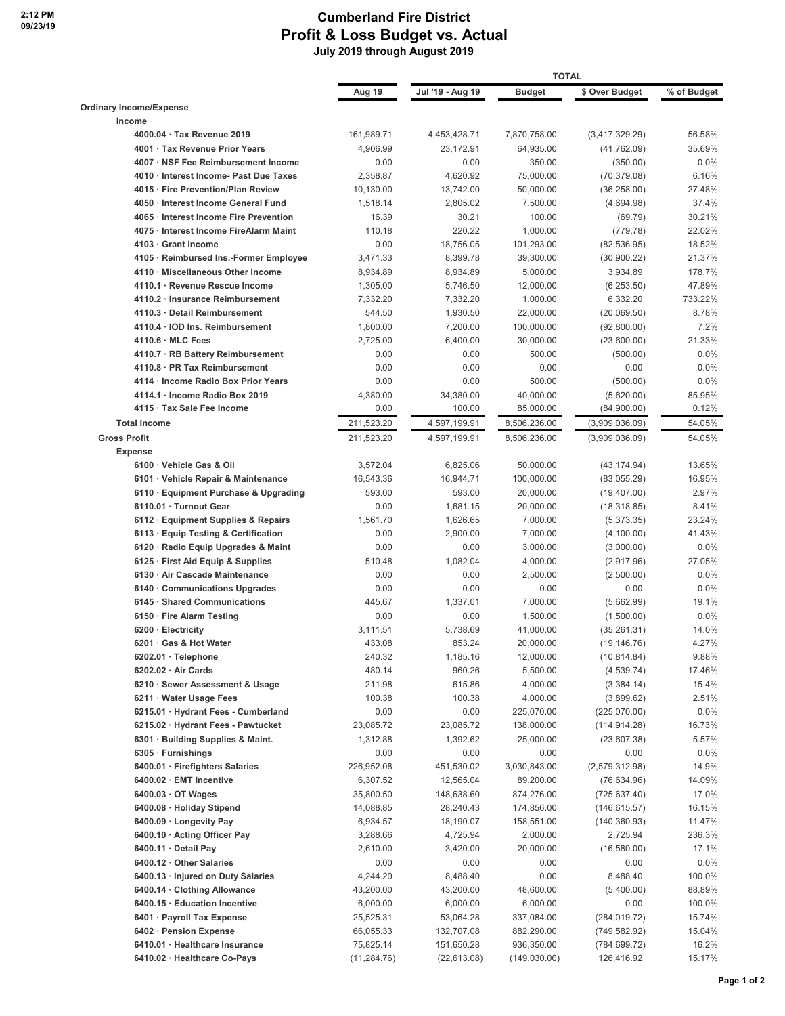#### **Cumberland Fire District Profit & Loss Budget vs. Actual July 2019 through August 2019**

|                                                                     |                      | <b>TOTAL</b>         |                         |                            |                  |  |
|---------------------------------------------------------------------|----------------------|----------------------|-------------------------|----------------------------|------------------|--|
|                                                                     | Aug 19               | Jul '19 - Aug 19     | <b>Budget</b>           | \$ Over Budget             | % of Budget      |  |
| <b>Ordinary Income/Expense</b>                                      |                      |                      |                         |                            |                  |  |
| Income                                                              |                      |                      |                         |                            |                  |  |
| 4000.04 Tax Revenue 2019                                            | 161,989.71           | 4,453,428.71         | 7,870,758.00            | (3,417,329.29)             | 56.58%           |  |
| 4001 · Tax Revenue Prior Years                                      | 4,906.99             | 23.172.91            | 64,935.00               | (41, 762.09)               | 35.69%           |  |
| 4007 · NSF Fee Reimbursement Income                                 | 0.00                 | 0.00                 | 350.00                  | (350.00)                   | 0.0%             |  |
| 4010 · Interest Income- Past Due Taxes                              | 2,358.87             | 4,620.92             | 75,000.00               | (70, 379.08)               | 6.16%            |  |
| 4015 · Fire Prevention/Plan Review                                  | 10,130.00            | 13,742.00            | 50,000.00               | (36, 258.00)               | 27.48%           |  |
| 4050 · Interest Income General Fund                                 | 1,518.14             | 2,805.02             | 7,500.00                | (4,694.98)                 | 37.4%            |  |
| 4065 · Interest Income Fire Prevention                              | 16.39                | 30.21                | 100.00                  | (69.79)                    | 30.21%           |  |
| 4075 · Interest Income FireAlarm Maint                              | 110.18               | 220.22               | 1,000.00                | (779.78)                   | 22.02%           |  |
| 4103 · Grant Income                                                 | 0.00                 | 18,756.05            | 101,293.00              | (82, 536.95)               | 18.52%           |  |
| 4105 · Reimbursed Ins.-Former Employee                              | 3,471.33             | 8,399.78             | 39,300.00               | (30,900.22)                | 21.37%           |  |
| 4110 · Miscellaneous Other Income<br>4110.1 · Revenue Rescue Income | 8,934.89             | 8,934.89             | 5,000.00                | 3,934.89                   | 178.7%           |  |
| 4110.2 Insurance Reimbursement                                      | 1,305.00             | 5,746.50             | 12,000.00               | (6,253.50)                 | 47.89%           |  |
| 4110.3 Detail Reimbursement                                         | 7,332.20<br>544.50   | 7,332.20<br>1,930.50 | 1,000.00                | 6,332.20                   | 733.22%<br>8.78% |  |
| 4110.4 · IOD Ins. Reimbursement                                     |                      |                      | 22,000.00               | (20,069.50)                | 7.2%             |  |
| 4110.6 MLC Fees                                                     | 1,800.00<br>2,725.00 | 7,200.00<br>6,400.00 | 100,000.00<br>30,000.00 | (92,800.00)<br>(23,600.00) | 21.33%           |  |
| 4110.7 · RB Battery Reimbursement                                   | 0.00                 | 0.00                 | 500.00                  | (500.00)                   | 0.0%             |  |
| 4110.8 PR Tax Reimbursement                                         | 0.00                 | 0.00                 | 0.00                    | 0.00                       | 0.0%             |  |
| 4114 · Income Radio Box Prior Years                                 | 0.00                 | 0.00                 | 500.00                  | (500.00)                   | 0.0%             |  |
| 4114.1 Income Radio Box 2019                                        | 4,380.00             | 34,380.00            | 40,000.00               | (5,620.00)                 | 85.95%           |  |
| 4115 · Tax Sale Fee Income                                          | 0.00                 | 100.00               | 85,000.00               | (84,900.00)                | 0.12%            |  |
| <b>Total Income</b>                                                 | 211,523.20           | 4,597,199.91         | 8,506,236.00            | (3,909,036.09)             | 54.05%           |  |
| <b>Gross Profit</b>                                                 | 211,523.20           | 4,597,199.91         | 8,506,236.00            | (3,909,036.09)             | 54.05%           |  |
| <b>Expense</b>                                                      |                      |                      |                         |                            |                  |  |
| 6100 · Vehicle Gas & Oil                                            | 3,572.04             | 6,825.06             | 50,000.00               | (43, 174.94)               | 13.65%           |  |
| 6101 · Vehicle Repair & Maintenance                                 | 16,543.36            | 16,944.71            | 100,000.00              | (83,055.29)                | 16.95%           |  |
| 6110 · Equipment Purchase & Upgrading                               | 593.00               | 593.00               | 20,000.00               | (19, 407.00)               | 2.97%            |  |
| 6110.01 · Turnout Gear                                              | 0.00                 | 1,681.15             | 20,000.00               | (18, 318.85)               | 8.41%            |  |
| 6112 · Equipment Supplies & Repairs                                 | 1,561.70             | 1,626.65             | 7,000.00                | (5,373.35)                 | 23.24%           |  |
| 6113 · Equip Testing & Certification                                | 0.00                 | 2,900.00             | 7,000.00                | (4, 100.00)                | 41.43%           |  |
| 6120 · Radio Equip Upgrades & Maint                                 | 0.00                 | 0.00                 | 3,000.00                | (3,000.00)                 | 0.0%             |  |
| 6125 · First Aid Equip & Supplies                                   | 510.48               | 1,082.04             | 4,000.00                | (2,917.96)                 | 27.05%           |  |
| 6130 · Air Cascade Maintenance                                      | 0.00                 | 0.00                 | 2,500.00                | (2,500.00)                 | 0.0%             |  |
| 6140 Communications Upgrades                                        | 0.00                 | 0.00                 | 0.00                    | 0.00                       | 0.0%             |  |
| 6145 · Shared Communications                                        | 445.67               | 1,337.01             | 7,000.00                | (5,662.99)                 | 19.1%            |  |
| 6150 · Fire Alarm Testing                                           | 0.00                 | 0.00                 | 1,500.00                | (1,500.00)                 | 0.0%             |  |
| 6200 · Electricity                                                  | 3,111.51             | 5.738.69             | 41,000.00               | (35, 261.31)               | 14.0%            |  |
| 6201 · Gas & Hot Water                                              | 433.08               | 853.24               | 20,000.00               | (19, 146.76)               | 4.27%            |  |
| 6202.01 · Telephone                                                 | 240.32               | 1,185.16             | 12,000.00               | (10, 814.84)               | 9.88%            |  |
| 6202.02 · Air Cards                                                 | 480.14               | 960.26               | 5,500.00                | (4, 539.74)                | 17.46%           |  |
| 6210 · Sewer Assessment & Usage                                     | 211.98               | 615.86               | 4,000.00                | (3,384.14)                 | 15.4%            |  |
| 6211 · Water Usage Fees                                             | 100.38               | 100.38               | 4,000.00                | (3,899.62)                 | 2.51%            |  |
| 6215.01 · Hydrant Fees - Cumberland                                 | 0.00                 | 0.00                 | 225,070.00              | (225,070.00)               | 0.0%             |  |
| 6215.02 · Hydrant Fees - Pawtucket                                  | 23,085.72            | 23,085.72            | 138,000.00              | (114, 914.28)              | 16.73%           |  |
| 6301 · Building Supplies & Maint.                                   | 1,312.88             | 1,392.62             | 25,000.00               | (23,607.38)                | 5.57%            |  |
| 6305 · Furnishings                                                  | 0.00                 | 0.00                 | 0.00                    | 0.00                       | 0.0%             |  |
| 6400.01 · Firefighters Salaries                                     | 226,952.08           | 451,530.02           | 3,030,843.00            | (2,579,312.98)             | 14.9%            |  |
| 6400.02 · EMT Incentive                                             | 6,307.52             | 12,565.04            | 89,200.00               | (76, 634.96)               | 14.09%           |  |
| $6400.03 \cdot$ OT Wages                                            | 35,800.50            | 148,638.60           | 874,276.00              | (725, 637.40)              | 17.0%            |  |
| 6400.08 · Holiday Stipend                                           | 14,088.85            | 28,240.43            | 174,856.00              | (146, 615.57)              | 16.15%           |  |
| 6400.09 · Longevity Pay                                             | 6,934.57             | 18,190.07            | 158,551.00              | (140, 360.93)              | 11.47%           |  |
| 6400.10 Acting Officer Pay                                          | 3,288.66             | 4,725.94             | 2,000.00                | 2,725.94                   | 236.3%           |  |
| 6400.11 Detail Pay                                                  | 2,610.00             | 3,420.00             | 20,000.00               | (16,580.00)                | 17.1%            |  |
| 6400.12 Other Salaries                                              | 0.00                 | 0.00                 | 0.00                    | 0.00                       | 0.0%             |  |
| 6400.13 · Injured on Duty Salaries                                  | 4,244.20             | 8,488.40             | 0.00                    | 8,488.40                   | 100.0%           |  |
| 6400.14 Clothing Allowance                                          | 43,200.00            | 43,200.00            | 48,600.00               | (5,400.00)                 | 88.89%           |  |
| 6400.15 · Education Incentive                                       | 6,000.00             | 6,000.00             | 6,000.00                | 0.00                       | 100.0%           |  |
| 6401 · Payroll Tax Expense                                          | 25,525.31            | 53,064.28            | 337,084.00              | (284, 019.72)              | 15.74%           |  |
| 6402 · Pension Expense                                              | 66,055.33            | 132,707.08           | 882,290.00              | (749, 582.92)              | 15.04%           |  |
| 6410.01 · Healthcare Insurance                                      | 75,825.14            | 151,650.28           | 936,350.00              | (784,699.72)               | 16.2%            |  |
| 6410.02 · Healthcare Co-Pays                                        | (11, 284.76)         | (22, 613.08)         | (149, 030.00)           | 126,416.92                 | 15.17%           |  |